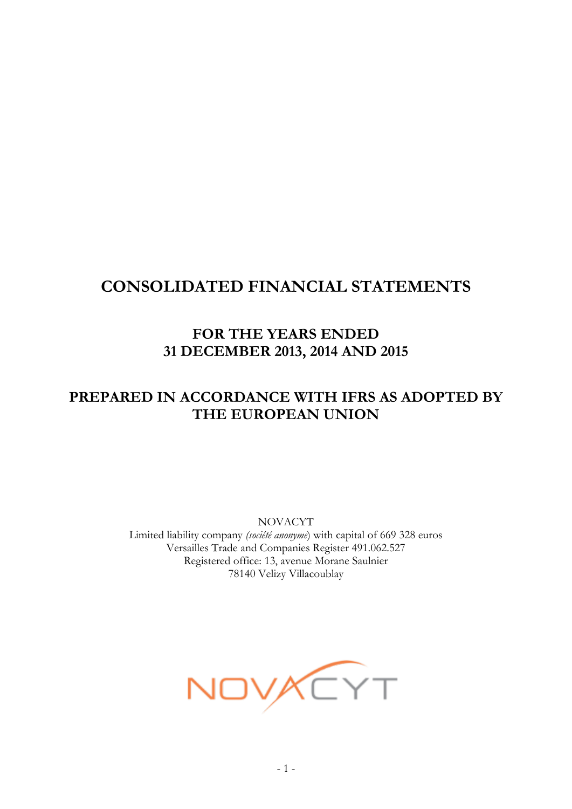# **CONSOLIDATED FINANCIAL STATEMENTS**

# **FOR THE YEARS ENDED 31 DECEMBER 2013, 2014 AND 2015**

# **PREPARED IN ACCORDANCE WITH IFRS AS ADOPTED BY THE EUROPEAN UNION**

NOVACYT Limited liability company *(société anonyme*) with capital of 669 328 euros Versailles Trade and Companies Register 491.062.527 Registered office: 13, avenue Morane Saulnier 78140 Velizy Villacoublay

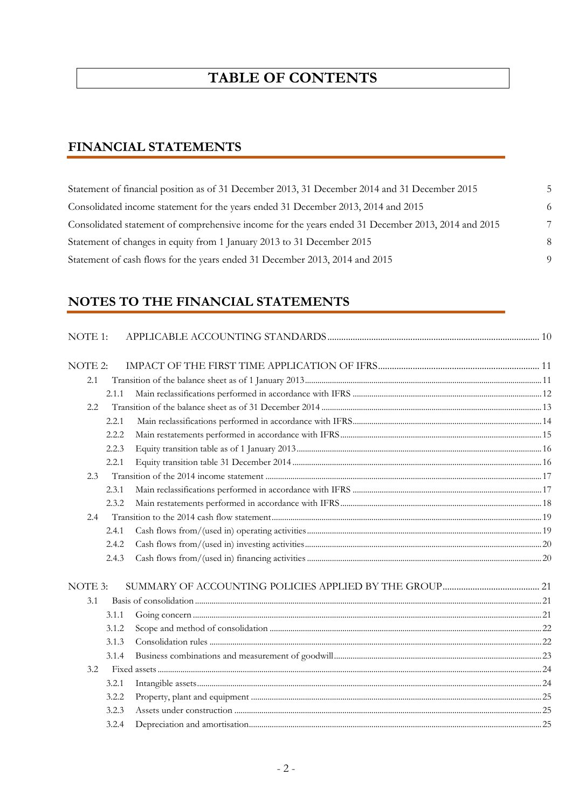# **TABLE OF CONTENTS**

# **FINANCIAL STATEMENTS**

| Statement of financial position as of 31 December 2013, 31 December 2014 and 31 December 2015      |    |
|----------------------------------------------------------------------------------------------------|----|
| Consolidated income statement for the years ended 31 December 2013, 2014 and 2015                  | -6 |
| Consolidated statement of comprehensive income for the years ended 31 December 2013, 2014 and 2015 |    |
| Statement of changes in equity from 1 January 2013 to 31 December 2015                             | 8  |
| Statement of cash flows for the years ended 31 December 2013, 2014 and 2015                        |    |

# **NOTES TO THE FINANCIAL STATEMENTS**

| NOTE 1: |       |  |
|---------|-------|--|
| NOTE 2: |       |  |
| 2.1     |       |  |
|         | 2.1.1 |  |
| 2.2     |       |  |
|         | 2.2.1 |  |
|         | 2.2.2 |  |
|         | 2.2.3 |  |
|         | 2.2.1 |  |
| 2.3     |       |  |
|         | 2.3.1 |  |
|         | 2.3.2 |  |
| 2.4     |       |  |
|         | 2.4.1 |  |
|         | 2.4.2 |  |
|         | 2.4.3 |  |
| NOTE 3: |       |  |
| 3.1     |       |  |
|         | 3.1.1 |  |
|         | 3.1.2 |  |
|         | 3.1.3 |  |
|         | 3.1.4 |  |
| 3.2.    |       |  |
|         | 3.2.1 |  |
|         | 3.2.2 |  |
|         | 3.2.3 |  |
|         | 3.2.4 |  |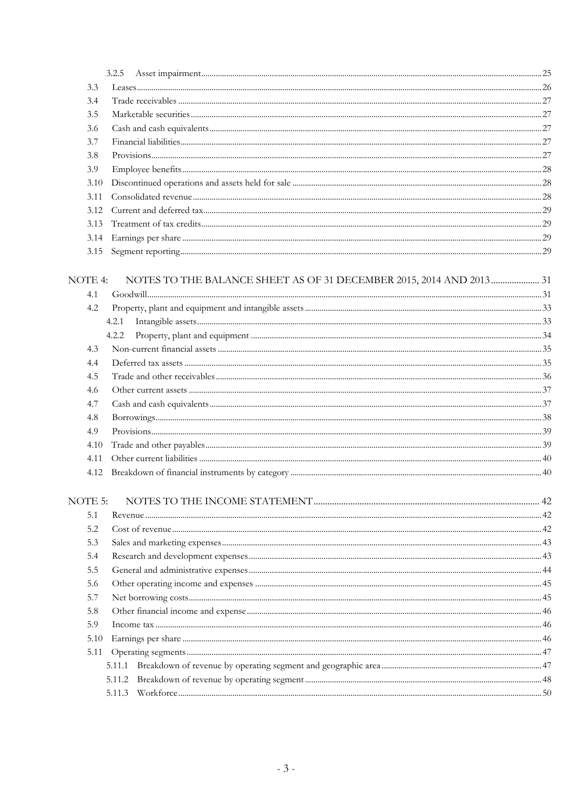|         | 3.2.5                                                               |  |
|---------|---------------------------------------------------------------------|--|
| 3.3     |                                                                     |  |
| 3.4     |                                                                     |  |
| 3.5     |                                                                     |  |
| 3.6     |                                                                     |  |
| 3.7     |                                                                     |  |
| 3.8     |                                                                     |  |
| 3.9     |                                                                     |  |
| 3.10    |                                                                     |  |
| 3.11    |                                                                     |  |
| 3.12    |                                                                     |  |
| 3.13    |                                                                     |  |
| 3.14    |                                                                     |  |
|         |                                                                     |  |
|         |                                                                     |  |
| NOTE 4: | NOTES TO THE BALANCE SHEET AS OF 31 DECEMBER 2015, 2014 AND 2013 31 |  |
| 4.1     |                                                                     |  |
| 4.2     |                                                                     |  |
|         | 4.2.1                                                               |  |
|         | 4.2.2                                                               |  |
| 4.3     |                                                                     |  |
| 4.4     |                                                                     |  |
| 4.5     |                                                                     |  |
| 4.6     |                                                                     |  |
| 4.7     |                                                                     |  |
| 4.8     |                                                                     |  |
| 4.9     |                                                                     |  |
| 4.10    |                                                                     |  |
| 4.11    |                                                                     |  |
| 4.12    |                                                                     |  |
| NOTE 5: |                                                                     |  |
| 5.1     |                                                                     |  |
| 5.2     |                                                                     |  |
| 5.3     |                                                                     |  |
| 5.4     |                                                                     |  |
| 5.5     |                                                                     |  |
| 5.6     |                                                                     |  |
| 5.7     |                                                                     |  |
| 5.8     |                                                                     |  |
| 5.9     |                                                                     |  |
| 5.10    |                                                                     |  |
| 5.11    |                                                                     |  |
|         | 5.11.1                                                              |  |
|         | 5.11.2                                                              |  |
|         |                                                                     |  |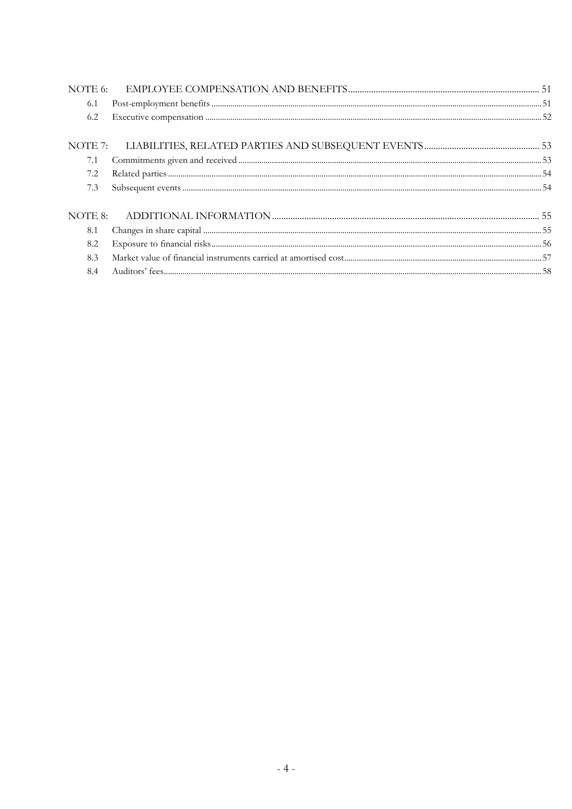| 6.1 |  |
|-----|--|
| 6.2 |  |
|     |  |
| 7.1 |  |
| 7.2 |  |
| 7.3 |  |
|     |  |
| 8.1 |  |
| 8.2 |  |
| 8.3 |  |
| 8.4 |  |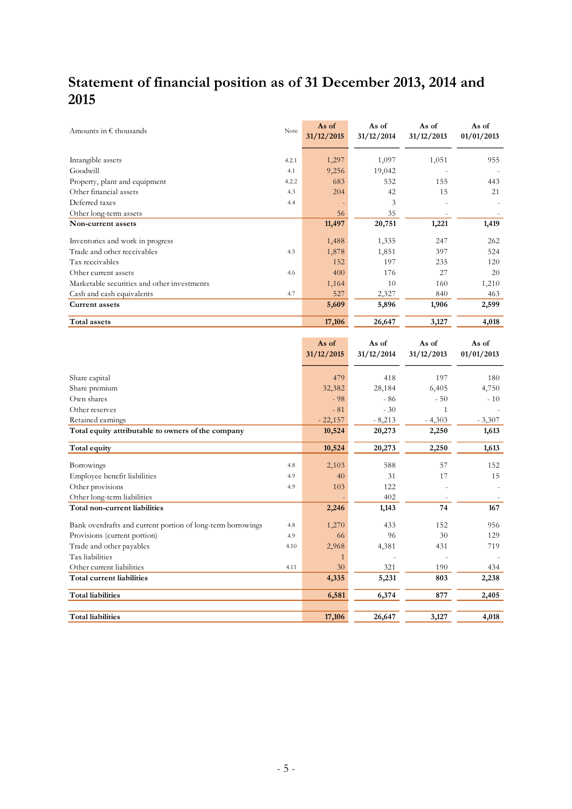# **Statement of financial position as of 31 December 2013, 2014 and 2015**

| Amounts in $\epsilon$ thousands             | Note  | As of<br>31/12/2015 | As of<br>31/12/2014 | As of<br>31/12/2013      | As of<br>01/01/2013 |
|---------------------------------------------|-------|---------------------|---------------------|--------------------------|---------------------|
|                                             | 4.2.1 | 1,297               | 1,097               | 1,051                    | 955                 |
| Intangible assets                           |       |                     |                     |                          |                     |
| Goodwill                                    | 4.1   | 9,256               | 19,042              |                          |                     |
| Property, plant and equipment               | 4.2.2 | 683                 | 532                 | 155                      | 443                 |
| Other financial assets                      | 4.3   | 204                 | 42                  | 15                       | 21                  |
| Deferred taxes                              | 4.4   |                     | 3                   | $\overline{\phantom{a}}$ |                     |
| Other long-term assets                      |       | 56                  | 35                  |                          |                     |
| Non-current assets                          |       | 11,497              | 20,751              | 1,221                    | 1,419               |
| Inventones and work in progress             |       | 1,488               | 1,335               | 247                      | 262                 |
| Trade and other receivables                 | 4.5   | 1,878               | 1,851               | 397                      | 524                 |
| Tax receivables                             |       | 152                 | 197                 | 235                      | 120                 |
| Other current assets                        | 4.6   | 400                 | 176                 | 27                       | 20                  |
| Marketable securities and other investments |       | 1,164               | 10                  | 160                      | 1,210               |
| Cash and cash equivalents                   | 4.7   | 527                 | 2,327               | 840                      | 463                 |
| <b>Current assets</b>                       |       | 5,609               | 5,896               | 1,906                    | 2,599               |
| Total assets                                |       | 17,106              | 26,647              | 3,127                    | 4,018               |

|                                                                    | As of<br>31/12/2015 | As of<br>31/12/2014 | As of<br>31/12/2013 | As of<br>01/01/2013 |
|--------------------------------------------------------------------|---------------------|---------------------|---------------------|---------------------|
| Share capital                                                      | 479                 | 418                 | 197                 | 180                 |
| Share premium                                                      | 32,382              | 28,184              | 6,405               | 4,750               |
| Own shares                                                         | $-98$               | $-86$               | $-50$               | $-10$               |
| Other reserves                                                     | $-81$               | $-30$               | $\mathbf{1}$        |                     |
| Retained earnings                                                  | $-22,157$           | $-8,213$            | $-4,303$            | $-3,307$            |
| Total equity attributable to owners of the company                 | 10,524              | 20,273              | 2,250               | 1,613               |
| Total equity                                                       | 10,524              | 20,273              | 2,250               | 1,613               |
| Borrowings                                                         | 2,103<br>4.8        | 588                 | 57                  | 152                 |
| Employee benefit liabilities<br>4.9                                | 40                  | 31                  | 17                  | 15                  |
| Other provisions<br>4.9                                            | 103                 | 122                 |                     |                     |
| Other long-term liabilities                                        |                     | 402                 |                     |                     |
| Total non-current liabilities                                      | 2,246               | 1,143               | 74                  | 167                 |
| Bank overdrafts and current portion of long-term borrowings<br>4.8 | 1,270               | 433                 | 152                 | 956                 |
| Provisions (current portion)<br>4.9                                | 66                  | 96                  | 30                  | 129                 |
| Trade and other payables                                           | 2,968<br>4.10       | 4,381               | 431                 | 719                 |
| Tax liabilities                                                    | 1                   |                     |                     |                     |
| Other current liabilities<br>4.11                                  | 30                  | 321                 | 190                 | 434                 |
| Total current liabilities                                          | 4,335               | 5,231               | 803                 | 2,238               |
| <b>Total liabilities</b>                                           | 6,581               | 6,374               | 877                 | 2,405               |
| <b>Total liabilities</b>                                           | 17,106              | 26,647              | 3,127               | 4,018               |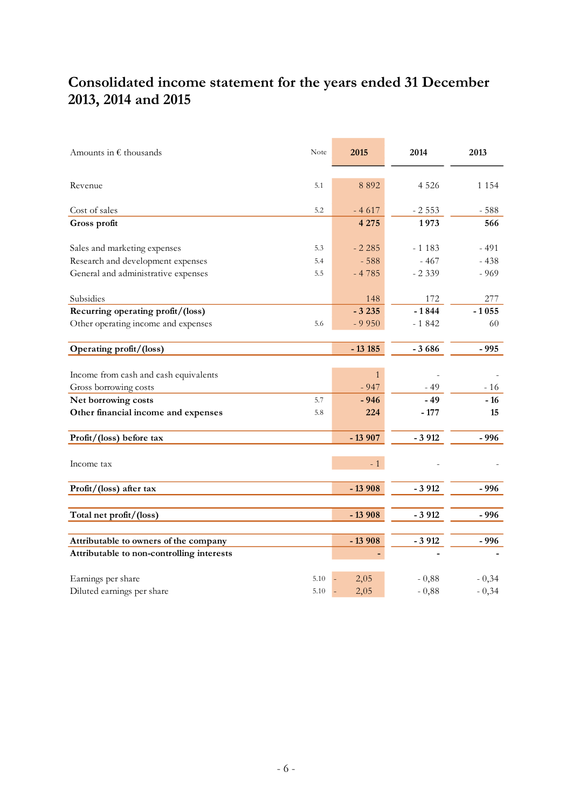# **Consolidated income statement for the years ended 31 December 2013, 2014 and 2015**

| Amounts in $\epsilon$ thousands                                | Note | 2015         | 2014    | 2013    |
|----------------------------------------------------------------|------|--------------|---------|---------|
| Revenue                                                        | 5.1  | 8 8 9 2      | 4 5 2 6 | 1 1 5 4 |
| Cost of sales                                                  | 5.2  | $-4617$      | $-2553$ | $-588$  |
| Gross profit                                                   |      | 4 2 7 5      | 1973    | 566     |
| Sales and marketing expenses                                   | 5.3  | $-2.285$     | $-1183$ | $-491$  |
| Research and development expenses                              | 5.4  | $-588$       | $-467$  | $-438$  |
| General and administrative expenses                            | 5.5  | $-4785$      | $-2339$ | $-969$  |
| Subsidies                                                      |      | 148          | 172     | 277     |
| Recurring operating profit/(loss)                              |      | $-3235$      | $-1844$ | $-1055$ |
| Other operating income and expenses                            | 5.6  | $-9950$      | $-1842$ | 60      |
| Operating profit/(loss)                                        |      | $-13185$     | $-3686$ | $-995$  |
|                                                                |      | $\mathbf{1}$ |         |         |
| Income from cash and cash equivalents<br>Gross borrowing costs |      | $-947$       | $-49$   | $-16$   |
| Net borrowing costs                                            | 5.7  | $-946$       | $-49$   | $-16$   |
| Other financial income and expenses                            | 5.8  | 224          | $-177$  | 15      |
| Profit/(loss) before tax                                       |      | $-13907$     | $-3912$ | $-996$  |
| Income tax                                                     |      | $-1$         |         |         |
|                                                                |      |              |         |         |
| Profit/(loss) after tax                                        |      | $-13908$     | $-3912$ | - 996   |
| Total net profit/(loss)                                        |      | $-13908$     | $-3912$ | - 996   |
| Attributable to owners of the company                          |      | $-13908$     | $-3912$ | $-996$  |
| Attributable to non-controlling interests                      |      |              |         |         |
| Earnings per share                                             | 5.10 | 2,05         | $-0,88$ | $-0,34$ |
| Diluted earnings per share                                     | 5.10 | 2,05         | $-0,88$ | $-0,34$ |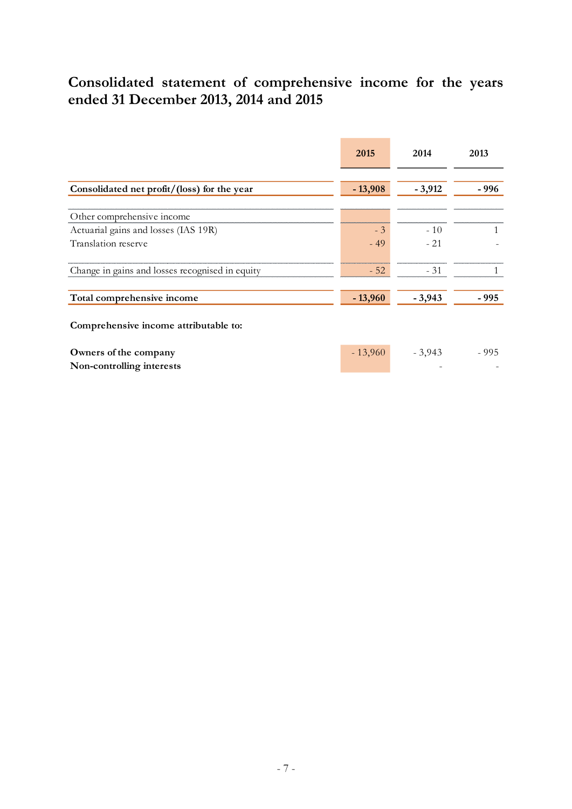# **Consolidated statement of comprehensive income for the years ended 31 December 2013, 2014 and 2015**

|                                                    | 2015      | 2014     | 2013   |
|----------------------------------------------------|-----------|----------|--------|
| Consolidated net profit/(loss) for the year        | $-13,908$ | $-3,912$ | - 996  |
| Other comprehensive income                         |           |          |        |
| Actuarial gains and losses (IAS 19R)               | $-3$      | $-10$    |        |
| Translation reserve                                | $-49$     | $-21$    |        |
| Change in gains and losses recognised in equity    | $-52$     | $-31$    |        |
| Total comprehensive income                         | $-13,960$ | $-3,943$ | - 995  |
| Comprehensive income attributable to:              |           |          |        |
| Owners of the company<br>Non-controlling interests | $-13,960$ | $-3,943$ | $-995$ |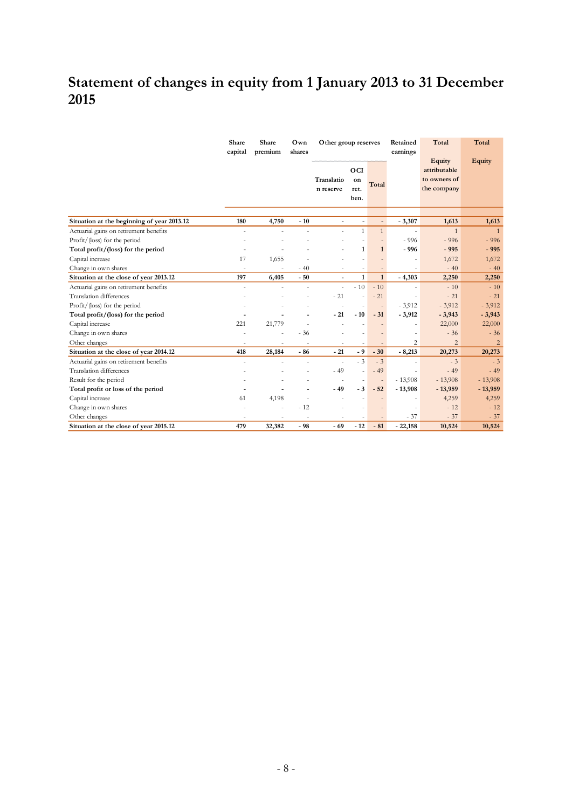# **Statement of changes in equity from 1 January 2013 to 31 December 2015**

|                                            | Share<br>Share<br>Own<br>Other group reserves<br>capital<br>premium<br>shares |                |                |                          | Retained<br>earnings      | Total                    | Total     |                                                       |                |
|--------------------------------------------|-------------------------------------------------------------------------------|----------------|----------------|--------------------------|---------------------------|--------------------------|-----------|-------------------------------------------------------|----------------|
|                                            |                                                                               |                |                | Translatio<br>n reserve  | OCI<br>on<br>ret.<br>ben. | Total                    |           | Equity<br>attributable<br>to owners of<br>the company | <b>Equity</b>  |
| Situation at the beginning of year 2013.12 | 180                                                                           | 4,750          | $-10$          | ٠                        |                           | $\blacksquare$           | $-3,307$  | 1,613                                                 | 1,613          |
| Actuarial gains on retirement benefits     | ÷,                                                                            |                |                | $\overline{a}$           | $\mathbf{1}$              | $\mathbf{1}$             | $\sim$    | $\mathbf{1}$                                          | $\overline{1}$ |
| Profit/(loss) for the period               |                                                                               |                |                |                          |                           |                          | $-996$    | $-996$                                                | $-996$         |
| Total profit/(loss) for the period         |                                                                               |                |                |                          | $\mathbf{1}$              | $\mathbf{1}$             | $-996$    | $-995$                                                | $-995$         |
| Capital increase                           | 17                                                                            | 1,655          |                |                          |                           |                          |           | 1,672                                                 | 1,672          |
| Change in own shares                       | $\sim$                                                                        |                | $-40$          |                          |                           |                          |           | $-40$                                                 | $-40$          |
| Situation at the close of year 2013.12     | 197                                                                           | 6,405          | $-50$          |                          | $\mathbf{1}$              | $\mathbf{1}$             | $-4,303$  | 2,250                                                 | 2,250          |
| Actuarial gains on retirement benefits     | ÷,                                                                            | L              | $\overline{a}$ | $\overline{a}$           | $-10$                     | $-10$                    |           | $-10$                                                 | $-10$          |
| <b>Translation</b> differences             |                                                                               |                |                | $-21$                    | $\overline{a}$            | $-21$                    |           | $-21$                                                 | $-21$          |
| $Profit/$ (loss) for the period            |                                                                               |                |                |                          |                           |                          | $-3,912$  | $-3,912$                                              | $-3,912$       |
| Total profit/(loss) for the period         |                                                                               |                |                | $-21$                    | $-10$                     | $-31$                    | $-3,912$  | $-3,943$                                              | $-3,943$       |
| Capital increase                           | 221                                                                           | 21,779         |                |                          |                           |                          |           | 22,000                                                | 22,000         |
| Change in own shares                       |                                                                               |                | $-36$          |                          |                           |                          |           | $-36$                                                 | $-36$          |
| Other changes                              | ٠                                                                             | $\overline{a}$ | $\overline{a}$ | $\overline{\phantom{a}}$ |                           |                          | 2         | $\overline{2}$                                        | $\overline{2}$ |
| Situation at the close of year 2014.12     | 418                                                                           | 28,184         | $-86$          | $-21$                    | $-9$                      | $-30$                    | $-8,213$  | 20,273                                                | 20,273         |
| Actuarial gains on retirement benefits     | $\overline{a}$                                                                |                | $\overline{a}$ | $\sim$                   | $-3$                      | $-3$                     |           | $-3$                                                  | $-3$           |
| <b>Translation</b> differences             |                                                                               |                |                | $-49$                    |                           | $-49$                    |           | $-49$                                                 | $-49$          |
| Result for the period                      |                                                                               |                | $\overline{a}$ | $\overline{\phantom{a}}$ |                           | $\overline{\phantom{a}}$ | $-13,908$ | $-13,908$                                             | $-13,908$      |
| Total profit or loss of the period         |                                                                               |                |                | $-49$                    | $-3$                      | $-52$                    | $-13,908$ | $-13,959$                                             | $-13,959$      |
| Capital increase                           | 61                                                                            | 4,198          |                |                          |                           |                          |           | 4,259                                                 | 4,259          |
| Change in own shares                       |                                                                               | $\overline{a}$ | $-12$          |                          |                           |                          |           | $-12$                                                 | $-12$          |
| Other changes                              |                                                                               |                |                |                          |                           |                          | $-37$     | $-37$                                                 | $-37$          |
| Situation at the close of year 2015.12     | 479                                                                           | 32,382         | $-98$          | $-69$                    | $-12$                     | $-81$                    | $-22,158$ | 10,524                                                | 10,524         |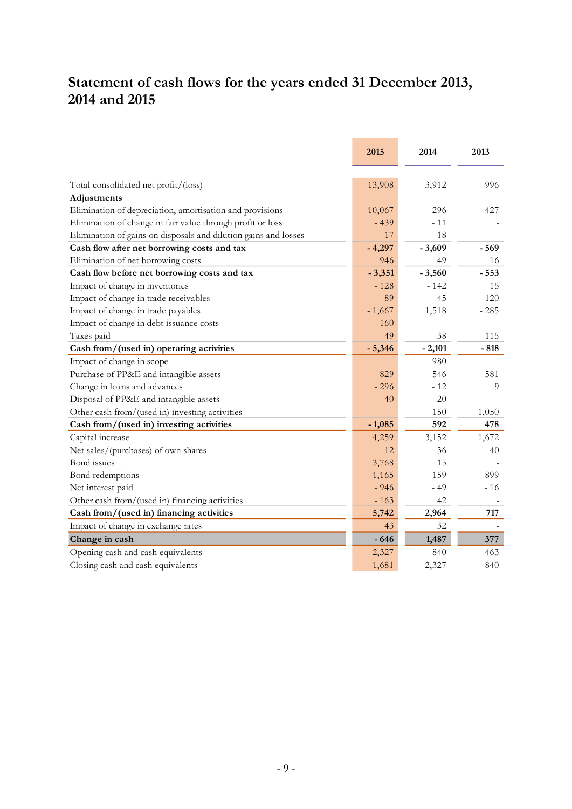# **Statement of cash flows for the years ended 31 December 2013, 2014 and 2015**

|                                                                 | 2015      | 2014     | 2013   |
|-----------------------------------------------------------------|-----------|----------|--------|
| Total consolidated net profit/(loss)                            | $-13,908$ | $-3,912$ | $-996$ |
| Adjustments                                                     |           |          |        |
| Elimination of depreciation, amortisation and provisions        | 10,067    | 296      | 427    |
| Elimination of change in fair value through profit or loss      | $-439$    | $-11$    |        |
| Elimination of gains on disposals and dilution gains and losses | $-17$     | 18       |        |
| Cash flow after net borrowing costs and tax                     | $-4,297$  | $-3,609$ | $-569$ |
| Elimination of net borrowing costs                              | 946       | 49       | 16     |
| Cash flow before net borrowing costs and tax                    | $-3,351$  | $-3,560$ | $-553$ |
| Impact of change in inventories                                 | $-128$    | $-142$   | 15     |
| Impact of change in trade receivables                           | $-89$     | 45       | 120    |
| Impact of change in trade payables                              | $-1,667$  | 1,518    | $-285$ |
| Impact of change in debt issuance costs                         | $-160$    |          |        |
| Taxes paid                                                      | 49        | 38       | $-115$ |
| Cash from/(used in) operating activities                        | $-5,346$  | $-2,101$ | $-818$ |
| Impact of change in scope                                       |           | 980      |        |
| Purchase of PP&E and intangible assets                          | $-829$    | $-546$   | $-581$ |
| Change in loans and advances                                    | $-296$    | $-12$    | 9      |
| Disposal of PP&E and intangible assets                          | 40        | 20       |        |
| Other cash from/(used in) investing activities                  |           | 150      | 1,050  |
| Cash from/(used in) investing activities                        | $-1,085$  | 592      | 478    |
| Capital increase                                                | 4,259     | 3,152    | 1,672  |
| Net sales/(purchases) of own shares                             | $-12$     | $-36$    | $-40$  |
| <b>Bond</b> issues                                              | 3,768     | 15       |        |
| Bond redemptions                                                | $-1,165$  | $-159$   | - 899  |
| Net interest paid                                               | $-946$    | $-49$    | $-16$  |
| Other cash from/(used in) financing activities                  | $-163$    | 42       |        |
| Cash from/(used in) financing activities                        | 5,742     | 2,964    | 717    |
| Impact of change in exchange rates                              | 43        | 32       |        |
| Change in cash                                                  | $-646$    | 1,487    | 377    |
| Opening cash and cash equivalents                               | 2,327     | 840      | 463    |
| Closing cash and cash equivalents                               | 1,681     | 2,327    | 840    |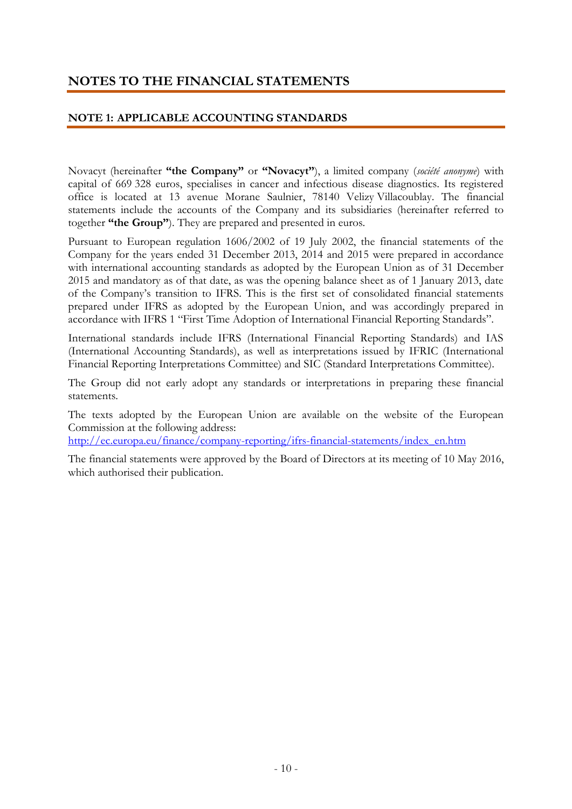# **NOTES TO THE FINANCIAL STATEMENTS**

#### **NOTE 1: APPLICABLE ACCOUNTING STANDARDS**

Novacyt (hereinafter **"the Company"** or **"Novacyt"**), a limited company (*société anonyme*) with capital of 669 328 euros, specialises in cancer and infectious disease diagnostics. Its registered office is located at 13 avenue Morane Saulnier, 78140 Velizy Villacoublay. The financial statements include the accounts of the Company and its subsidiaries (hereinafter referred to together **"the Group"**). They are prepared and presented in euros.

Pursuant to European regulation 1606/2002 of 19 July 2002, the financial statements of the Company for the years ended 31 December 2013, 2014 and 2015 were prepared in accordance with international accounting standards as adopted by the European Union as of 31 December 2015 and mandatory as of that date, as was the opening balance sheet as of 1 January 2013, date of the Company's transition to IFRS. This is the first set of consolidated financial statements prepared under IFRS as adopted by the European Union, and was accordingly prepared in accordance with IFRS 1 "First Time Adoption of International Financial Reporting Standards".

International standards include IFRS (International Financial Reporting Standards) and IAS (International Accounting Standards), as well as interpretations issued by IFRIC (International Financial Reporting Interpretations Committee) and SIC (Standard Interpretations Committee).

The Group did not early adopt any standards or interpretations in preparing these financial statements.

The texts adopted by the European Union are available on the website of the European Commission at the following address:

[http://ec.europa.eu/finance/company-reporting/ifrs-financial-statements/index\\_en.htm](http://ec.europa.eu/finance/company-reporting/ifrs-financial-statements/index_en.htm)

The financial statements were approved by the Board of Directors at its meeting of 10 May 2016, which authorised their publication.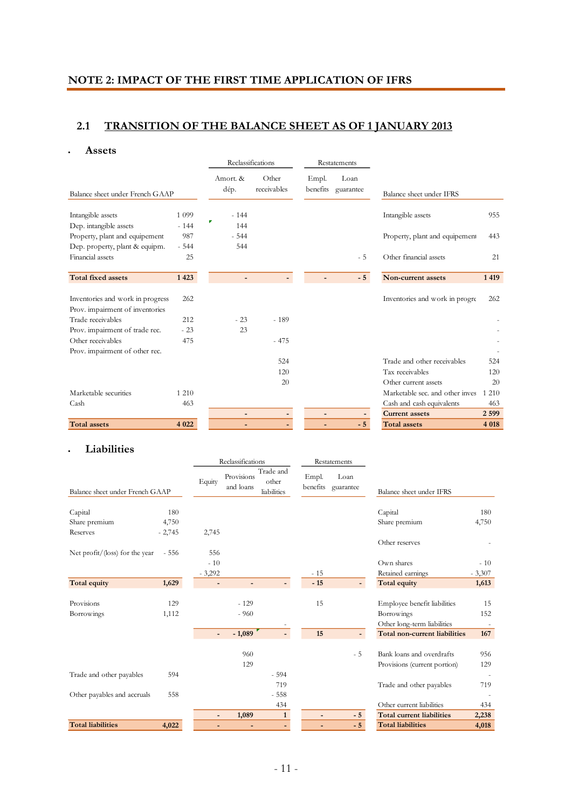# **NOTE 2: IMPACT OF THE FIRST TIME APPLICATION OF IFRS**

## **2.1 TRANSITION OF THE BALANCE SHEET AS OF 1 JANUARY 2013**

#### **Assets**

|                                  |         |                  | Reclassifications    | Restatements      |                   |                                 |         |
|----------------------------------|---------|------------------|----------------------|-------------------|-------------------|---------------------------------|---------|
| Balance sheet under French GAAP  |         | Amort. &<br>dép. | Other<br>receivables | Empl.<br>benefits | Loan<br>guarantee | Balance sheet under IFRS        |         |
| Intangible assets                | 1 0 9 9 | $-144$           |                      |                   |                   | Intangible assets               | 955     |
| Dep. intangible assets           | $-144$  | Г<br>144         |                      |                   |                   |                                 |         |
| Property, plant and equipement   | 987     | $-544$           |                      |                   |                   | Property, plant and equipement  | 443     |
| Dep. property, plant & equipm.   | $-544$  | 544              |                      |                   |                   |                                 |         |
| Financial assets                 | 25      |                  |                      |                   | $-5$              | Other financial assets          | 21      |
| <b>Total fixed assets</b>        | 1423    | $\overline{a}$   |                      |                   | $-5$              | Non-current assets              | 1 4 1 9 |
| Inventories and work in progress | 262     |                  |                      |                   |                   | Inventories and work in progre  | 262     |
| Prov. impairment of inventories  |         |                  |                      |                   |                   |                                 |         |
| Trade receivables                | 212     | $-23$            | $-189$               |                   |                   |                                 |         |
| Prov. impairment of trade rec.   | $-23$   | 23               |                      |                   |                   |                                 |         |
| Other receivables                | 475     |                  | $-475$               |                   |                   |                                 |         |
| Prov. impairment of other rec.   |         |                  |                      |                   |                   |                                 |         |
|                                  |         |                  | 524                  |                   |                   | Trade and other receivables     | 524     |
|                                  |         |                  | 120                  |                   |                   | Tax receivables                 | 120     |
|                                  |         |                  | 20                   |                   |                   | Other current assets            | 20      |
| Marketable securities            | 1 2 1 0 |                  |                      |                   |                   | Marketable sec. and other inves | 1 2 1 0 |
| Cash                             | 463     |                  |                      |                   |                   | Cash and cash equivalents       | 463     |
|                                  |         | $\overline{a}$   |                      | $\overline{a}$    |                   | <b>Current assets</b>           | 2599    |
| <b>Total assets</b>              | 4 0 2 2 |                  |                      |                   | $-5$              | <b>Total assets</b>             | 4 0 18  |

#### **Liabilities**

|                                 |          | Reclassifications        |                         |                                   | Restatements             |                   |                                  |          |
|---------------------------------|----------|--------------------------|-------------------------|-----------------------------------|--------------------------|-------------------|----------------------------------|----------|
| Balance sheet under French GAAP |          | Equity                   | Provisions<br>and loans | Trade and<br>other<br>liabilities | Empl.<br>benefits        | Loan<br>guarantee | Balance sheet under IFRS         |          |
|                                 |          |                          |                         |                                   |                          |                   |                                  |          |
| Capital                         | 180      |                          |                         |                                   |                          |                   | Capital                          | 180      |
| Share premium                   | 4,750    |                          |                         |                                   |                          |                   | Share premium                    | 4,750    |
| Reserves                        | $-2,745$ | 2,745                    |                         |                                   |                          |                   |                                  |          |
|                                 |          |                          |                         |                                   |                          |                   | Other reserves                   |          |
| Net profit/(loss) for the year  | $-556$   | 556                      |                         |                                   |                          |                   |                                  |          |
|                                 |          | $-10$                    |                         |                                   |                          |                   | Own shares                       | $-10$    |
|                                 |          | $-3,292$                 |                         |                                   | $-15$                    |                   | Retained earnings                | $-3,307$ |
| Total equity                    | 1,629    | $\overline{\phantom{a}}$ | -                       | $\overline{\phantom{0}}$          | $-15$                    |                   | <b>Total equity</b>              | 1,613    |
|                                 |          |                          |                         |                                   |                          |                   |                                  |          |
| Provisions                      | 129      |                          | $-129$                  |                                   | 15                       |                   | Employee benefit liabilities     | 15       |
| Borrowings                      | 1,112    |                          | $-960$                  |                                   |                          |                   | Borrowings                       | 152      |
|                                 |          |                          |                         |                                   |                          |                   | Other long-term liabilities      |          |
|                                 |          | $\overline{\phantom{a}}$ | $-1,089$                |                                   | 15                       |                   | Total non-current liabilities    | 167      |
|                                 |          |                          |                         |                                   |                          |                   |                                  |          |
|                                 |          |                          | 960                     |                                   |                          | $-5$              | Bank loans and overdrafts        | 956      |
|                                 |          |                          | 129                     |                                   |                          |                   | Provisions (current portion)     | 129      |
| Trade and other payables        | 594      |                          |                         | $-594$                            |                          |                   |                                  |          |
|                                 |          |                          |                         | 719                               |                          |                   | Trade and other payables         | 719      |
| Other payables and accruals     | 558      |                          |                         | $-558$                            |                          |                   |                                  |          |
|                                 |          |                          |                         | 434                               |                          |                   | Other current liabilities        | 434      |
|                                 |          | $\overline{\phantom{a}}$ | 1,089                   | $\mathbf{1}$                      | $\overline{\phantom{a}}$ | $-5$              | <b>Total current liabilities</b> | 2,238    |
| <b>Total liabilities</b>        | 4,022    |                          | $\overline{a}$          | ٠                                 | ٠                        | $-5$              | <b>Total liabilities</b>         | 4,018    |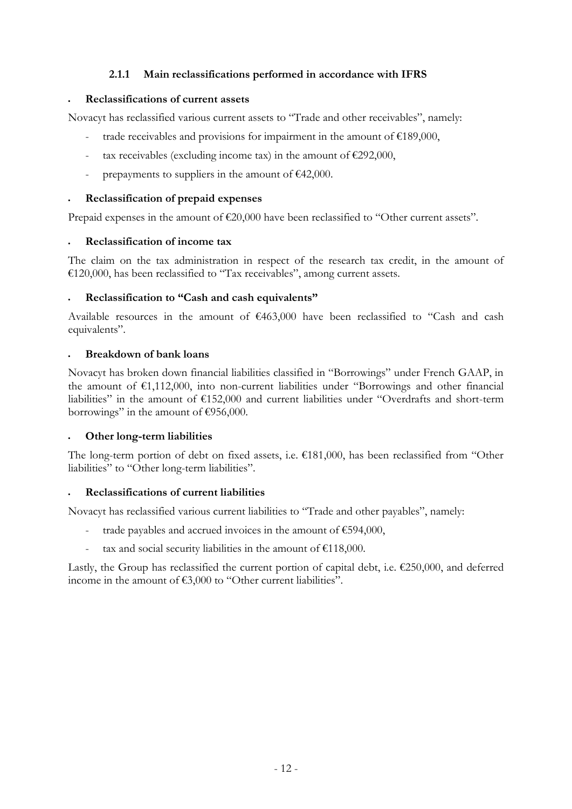## **2.1.1 Main reclassifications performed in accordance with IFRS**

#### **Reclassifications of current assets**

Novacyt has reclassified various current assets to "Trade and other receivables", namely:

- trade receivables and provisions for impairment in the amount of  $£189,000$ ,
- tax receivables (excluding income tax) in the amount of  $\epsilon$ 292,000,
- prepayments to suppliers in the amount of  $\epsilon$ 42,000.

#### **Reclassification of prepaid expenses**

Prepaid expenses in the amount of €20,000 have been reclassified to "Other current assets".

#### **Reclassification of income tax**

The claim on the tax administration in respect of the research tax credit, in the amount of €120,000, has been reclassified to "Tax receivables", among current assets.

#### **Reclassification to "Cash and cash equivalents"**

Available resources in the amount of €463,000 have been reclassified to "Cash and cash equivalents".

#### **Breakdown of bank loans**

Novacyt has broken down financial liabilities classified in "Borrowings" under French GAAP, in the amount of €1,112,000, into non-current liabilities under "Borrowings and other financial liabilities" in the amount of €152,000 and current liabilities under "Overdrafts and short-term borrowings" in the amount of  $\epsilon$ 956,000.

## **Other long-term liabilities**

The long-term portion of debt on fixed assets, i.e.  $\epsilon$ 181,000, has been reclassified from "Other liabilities" to "Other long-term liabilities".

## **Reclassifications of current liabilities**

Novacyt has reclassified various current liabilities to "Trade and other payables", namely:

- trade payables and accrued invoices in the amount of  $€594,000$ ,
- tax and social security liabilities in the amount of  $£118,000$ .

Lastly, the Group has reclassified the current portion of capital debt, i.e. €250,000, and deferred income in the amount of €3,000 to "Other current liabilities".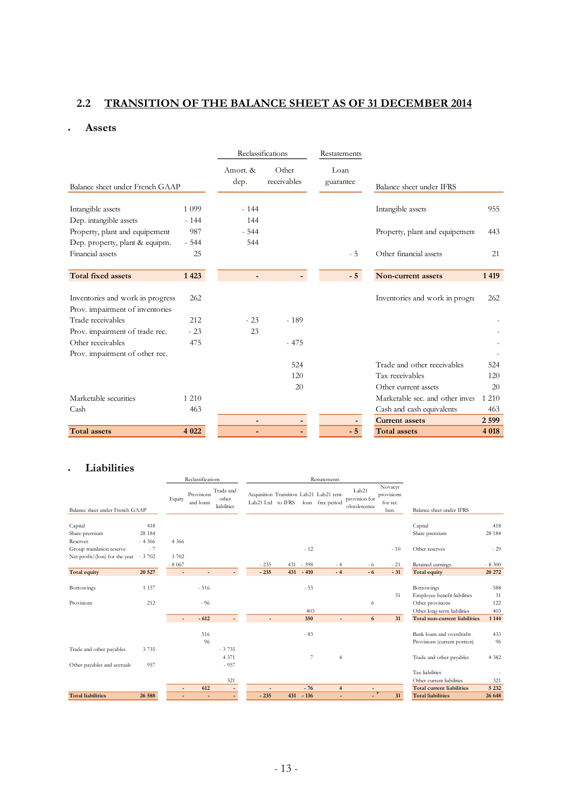# **2.2 TRANSITION OF THE BALANCE SHEET AS OF 31 DECEMBER 2014**

#### **Assets**

|                                  |         |                          | Reclassifications    |  | Restatements      |                                 |         |
|----------------------------------|---------|--------------------------|----------------------|--|-------------------|---------------------------------|---------|
| Balance sheet under French GAAP  |         | Amort. &<br>dep.         | Other<br>receivables |  | Loan<br>guarantee | Balance sheet under IFRS        |         |
| Intangible assets                | 1 0 9 9 | $-144$                   |                      |  |                   | Intangible assets               | 955     |
| Dep. intangible assets           | $-144$  | 144                      |                      |  |                   |                                 |         |
| Property, plant and equipement   | 987     | $-544$                   |                      |  |                   | Property, plant and equipement  | 443     |
| Dep. property, plant & equipm.   | $-544$  | 544                      |                      |  |                   |                                 |         |
| Financial assets                 | 25      |                          |                      |  | $-5$              | Other financial assets          | 21      |
| <b>Total fixed assets</b>        | 1 4 2 3 |                          |                      |  | $-5$              | Non-current assets              | 1419    |
| Inventories and work in progress | 262     |                          |                      |  |                   | Inventories and work in progre  | 262     |
| Prov. impairment of inventories  |         |                          |                      |  |                   |                                 |         |
| Trade receivables                | 212     | $-23$                    | $-189$               |  |                   |                                 |         |
| Prov. impairment of trade rec.   | $-23$   | 23                       |                      |  |                   |                                 |         |
| Other receivables                | 475     |                          | $-475$               |  |                   |                                 |         |
| Prov. impairment of other rec.   |         |                          |                      |  |                   |                                 |         |
|                                  |         |                          | 524                  |  |                   | Trade and other receivables     | 524     |
|                                  |         |                          | 120                  |  |                   | Tax receivables                 | 120     |
|                                  |         |                          | 20                   |  |                   | Other current assets            | 20      |
| Marketable securities            | 1 2 1 0 |                          |                      |  |                   | Marketable sec. and other inves | 1 2 1 0 |
| Cash                             | 463     |                          |                      |  |                   | Cash and cash equivalents       | 463     |
|                                  |         | $\overline{\phantom{a}}$ | -                    |  |                   | <b>Current assets</b>           | 2 5 9 9 |
| <b>Total</b> assets              | 4 0 2 2 |                          |                      |  | $-5$              | <b>Total assets</b>             | 4 0 18  |

#### **Liabilities**

|                                 |          |                | Reclassifications       |                                   | Restatements      |     |        |                                                         |                                                    |                                           |                                  |         |
|---------------------------------|----------|----------------|-------------------------|-----------------------------------|-------------------|-----|--------|---------------------------------------------------------|----------------------------------------------------|-------------------------------------------|----------------------------------|---------|
| Balance sheet under French GAAP |          | Equity         | Provisions<br>and loans | Trade and<br>other<br>liabilities | Lab21 Ltd to IFRS |     | loan   | Acquisition Transition Lab21 Lab21 rent-<br>free period | Lab <sub>21</sub><br>provision for<br>obsolescence | Novacyt<br>provisions<br>for ret.<br>ben. | Balance sheet under IFRS         |         |
| Capital                         | 418      |                |                         |                                   |                   |     |        |                                                         |                                                    |                                           | Capital                          | 418     |
| Share premium                   | 28 184   |                |                         |                                   |                   |     |        |                                                         |                                                    |                                           | Share premium                    | 28 184  |
| Reserves                        | $-4.366$ | 4 3 6 6        |                         |                                   |                   |     |        |                                                         |                                                    |                                           |                                  |         |
| Group translation reserve       | $-7$     |                |                         |                                   |                   |     | $-12$  |                                                         |                                                    | $-10$                                     | Other reserves                   | $-29$   |
| Net profit/(loss) for the year  | $-3702$  | 3702           |                         |                                   |                   |     |        |                                                         |                                                    |                                           |                                  |         |
|                                 |          | $-8067$        |                         |                                   | $-235$            | 431 | $-398$ | - 4                                                     | - 6                                                | $-21$                                     | Retained earnings                | $-8300$ |
| <b>Total equity</b>             | 20 5 27  | $\overline{a}$ |                         |                                   | $-235$            | 431 | $-410$ | $-4$                                                    | $-6$                                               | $-31$                                     | <b>Total equity</b>              | 20 27 2 |
| Borrowings                      | 1 1 5 7  |                | $-516$                  |                                   |                   |     | $-53$  |                                                         |                                                    |                                           | Borrowings                       | 588     |
|                                 |          |                |                         |                                   |                   |     |        |                                                         |                                                    | 31                                        | Employee benefit liabilities     | 31      |
| Provisions                      | 212      |                | $-96$                   |                                   |                   |     |        |                                                         | 6                                                  |                                           | Other provisions                 | 122     |
|                                 |          |                |                         |                                   |                   |     | 403    |                                                         |                                                    |                                           | Other long-term liabilities      | 403     |
|                                 |          |                | $-612$                  |                                   |                   |     | 350    |                                                         | 6                                                  | 31                                        | Total non-current liabilities    | 1 1 4 4 |
|                                 |          |                | 516                     |                                   |                   |     | $-83$  |                                                         |                                                    |                                           | Bank loans and overdrafts        | 433     |
|                                 |          |                | 96                      |                                   |                   |     |        |                                                         |                                                    |                                           | Provisions (current portion)     | 96      |
| Trade and other payables        | 3735     |                |                         | $-3735$                           |                   |     |        |                                                         |                                                    |                                           |                                  |         |
|                                 |          |                |                         | 4 3 7 1                           |                   |     | 7      | $\overline{4}$                                          |                                                    |                                           | Trade and other payables         | 4 3 8 2 |
| Other payables and accruals     | 957      |                |                         | $-957$                            |                   |     |        |                                                         |                                                    |                                           |                                  |         |
|                                 |          |                |                         |                                   |                   |     |        |                                                         |                                                    |                                           | Tax liabilities                  |         |
|                                 |          |                |                         | 321                               |                   |     |        |                                                         |                                                    |                                           | Other current liabilities        | 321     |
|                                 |          |                | 612                     | $\blacksquare$                    |                   |     | $-76$  | $\overline{4}$                                          | $\overline{a}$                                     |                                           | <b>Total current liabilities</b> | 5 2 3 2 |
| <b>Total liabilities</b>        | 26 588   |                | ٠                       | ÷.                                | $-235$            | 431 | $-136$ |                                                         |                                                    | 31                                        | <b>Total liabilities</b>         | 26 648  |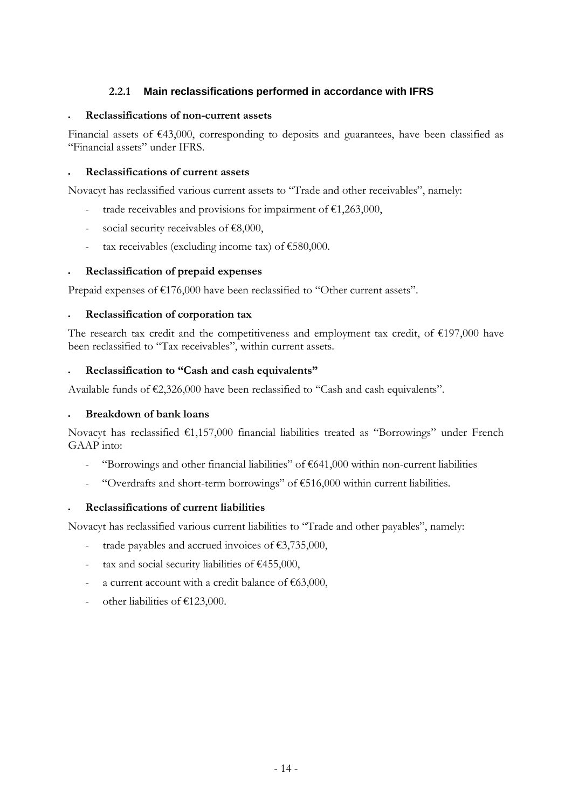## **2.2.1 Main reclassifications performed in accordance with IFRS**

#### **Reclassifications of non-current assets**

Financial assets of €43,000, corresponding to deposits and guarantees, have been classified as "Financial assets" under IFRS.

#### **Reclassifications of current assets**

Novacyt has reclassified various current assets to "Trade and other receivables", namely:

- trade receivables and provisions for impairment of  $£1,263,000,$
- social security receivables of  $€8,000$ ,
- tax receivables (excluding income tax) of  $€580,000$ .

#### **Reclassification of prepaid expenses**

Prepaid expenses of €176,000 have been reclassified to "Other current assets".

#### **Reclassification of corporation tax**

The research tax credit and the competitiveness and employment tax credit, of  $\epsilon$ 197,000 have been reclassified to "Tax receivables", within current assets.

#### **Reclassification to "Cash and cash equivalents"**

Available funds of €2,326,000 have been reclassified to "Cash and cash equivalents".

#### **Breakdown of bank loans**

Novacyt has reclassified €1,157,000 financial liabilities treated as "Borrowings" under French GAAP into:

- "Borrowings and other financial liabilities" of  $€641,000$  within non-current liabilities
- "Overdrafts and short-term borrowings" of  $€516,000$  within current liabilities.

#### **Reclassifications of current liabilities**

Novacyt has reclassified various current liabilities to "Trade and other payables", namely:

- trade payables and accrued invoices of  $£3,735,000$ ,
- tax and social security liabilities of  $\epsilon$ 455,000,
- a current account with a credit balance of  $€63,000$ ,
- other liabilities of  $£123,000$ .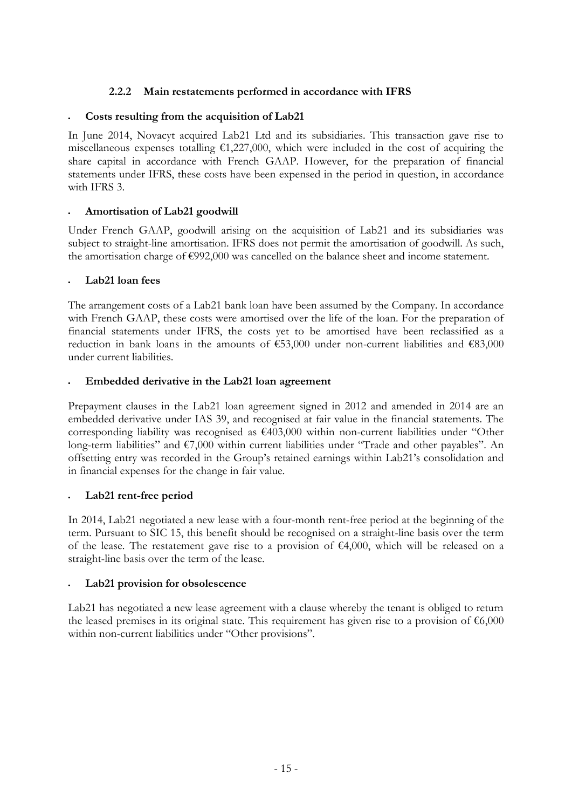## **2.2.2 Main restatements performed in accordance with IFRS**

## **Costs resulting from the acquisition of Lab21**

In June 2014, Novacyt acquired Lab21 Ltd and its subsidiaries. This transaction gave rise to miscellaneous expenses totalling  $\epsilon$ 1,227,000, which were included in the cost of acquiring the share capital in accordance with French GAAP. However, for the preparation of financial statements under IFRS, these costs have been expensed in the period in question, in accordance with IFRS 3.

## **Amortisation of Lab21 goodwill**

Under French GAAP, goodwill arising on the acquisition of Lab21 and its subsidiaries was subject to straight-line amortisation. IFRS does not permit the amortisation of goodwill. As such, the amortisation charge of €992,000 was cancelled on the balance sheet and income statement.

## **Lab21 loan fees**

The arrangement costs of a Lab21 bank loan have been assumed by the Company. In accordance with French GAAP, these costs were amortised over the life of the loan. For the preparation of financial statements under IFRS, the costs yet to be amortised have been reclassified as a reduction in bank loans in the amounts of  $\epsilon$ 53,000 under non-current liabilities and  $\epsilon$ 83,000 under current liabilities.

## **Embedded derivative in the Lab21 loan agreement**

Prepayment clauses in the Lab21 loan agreement signed in 2012 and amended in 2014 are an embedded derivative under IAS 39, and recognised at fair value in the financial statements. The corresponding liability was recognised as  $€403,000$  within non-current liabilities under "Other long-term liabilities" and €7,000 within current liabilities under "Trade and other payables". An offsetting entry was recorded in the Group's retained earnings within Lab21's consolidation and in financial expenses for the change in fair value.

## **Lab21 rent-free period**

In 2014, Lab21 negotiated a new lease with a four-month rent-free period at the beginning of the term. Pursuant to SIC 15, this benefit should be recognised on a straight-line basis over the term of the lease. The restatement gave rise to a provision of  $\epsilon$ 4,000, which will be released on a straight-line basis over the term of the lease.

## **Lab21 provision for obsolescence**

Lab21 has negotiated a new lease agreement with a clause whereby the tenant is obliged to return the leased premises in its original state. This requirement has given rise to a provision of  $\epsilon$ 6,000 within non-current liabilities under "Other provisions".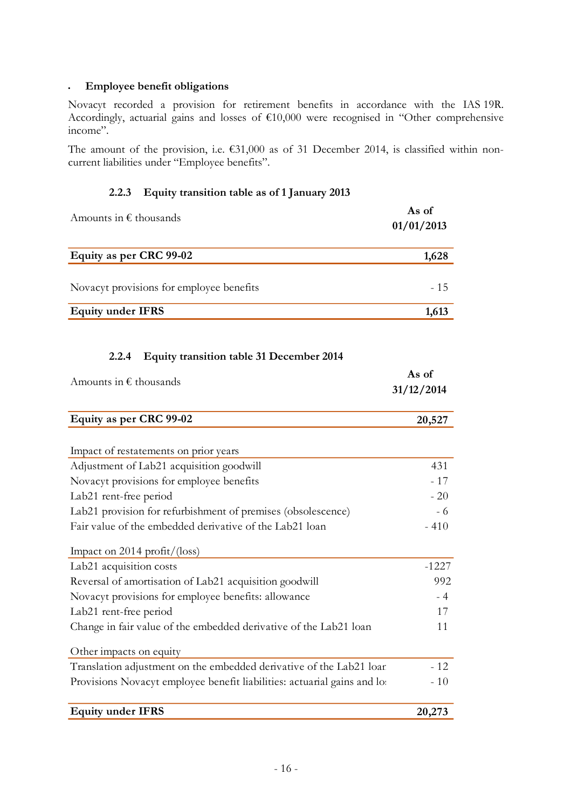#### **Employee benefit obligations**

Novacyt recorded a provision for retirement benefits in accordance with the IAS 19R. Accordingly, actuarial gains and losses of €10,000 were recognised in "Other comprehensive income".

The amount of the provision, i.e. €31,000 as of 31 December 2014, is classified within noncurrent liabilities under "Employee benefits".

## **2.2.3 Equity transition table as of 1 January 2013**

| Amounts in $\epsilon$ thousands          | As of<br>01/01/2013 |
|------------------------------------------|---------------------|
| Equity as per CRC 99-02                  | 1,628               |
| Novacyt provisions for employee benefits | $-15$               |
| <b>Equity under IFRS</b>                 | 1,613               |

# **2.2.4 Equity transition table 31 December 2014**

| Amounts in $\epsilon$ thousands                                          | As of<br>31/12/2014 |
|--------------------------------------------------------------------------|---------------------|
| Equity as per CRC 99-02                                                  | 20,527              |
|                                                                          |                     |
| Impact of restatements on prior years                                    |                     |
| Adjustment of Lab21 acquisition goodwill                                 | 431                 |
| Novacyt provisions for employee benefits                                 | $-17$               |
| Lab21 rent-free period                                                   | $-20$               |
| Lab21 provision for refurbishment of premises (obsolescence)             | - 6                 |
| Fair value of the embedded derivative of the Lab21 loan                  | $-410$              |
| Impact on 2014 profit/ $(\text{loss})$                                   |                     |
| Lab <sub>21</sub> acquisition costs                                      | $-1227$             |
| Reversal of amortisation of Lab21 acquisition goodwill                   | 992                 |
| Novacyt provisions for employee benefits: allowance                      | $-4$                |
| Lab21 rent-free period                                                   | 17                  |
| Change in fair value of the embedded derivative of the Lab21 loan        | 11                  |
| Other impacts on equity                                                  |                     |
| Translation adjustment on the embedded derivative of the Lab21 loar      | $-12$               |
| Provisions Novacyt employee benefit liabilities: actuarial gains and lot | $-10$               |
|                                                                          |                     |

| <b>Equity under IFRS</b> | 20,273 |  |
|--------------------------|--------|--|
|                          |        |  |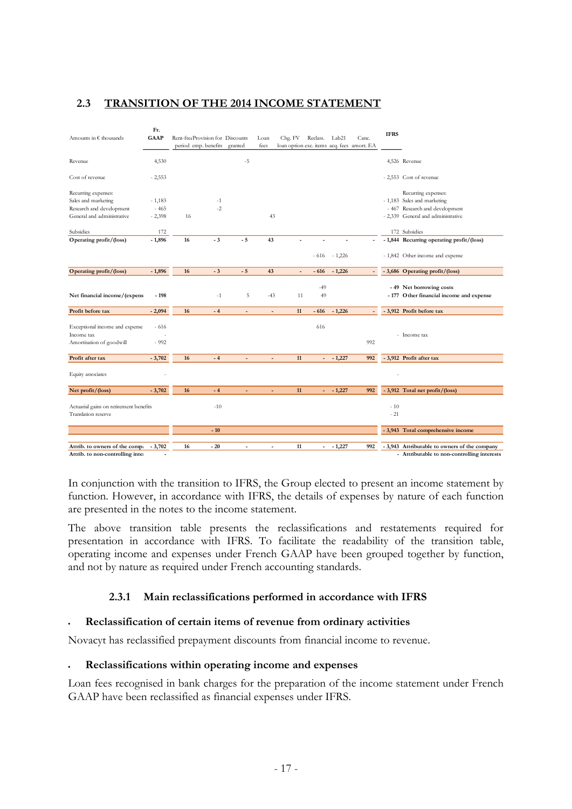## **2.3 TRANSITION OF THE 2014 INCOME STATEMENT**

| Amounts in € thousands                                                   | Fr.<br><b>GAAP</b> | Rent-freeProvision for Discounts<br>period emp. benefits granted |              |                | Loan<br>fees   | Chg. FV<br>loan option exc. items acq. fees amort. EA | Reclass.                 | Lab21          | Canc.                    | <b>IFRS</b>    |                                                                      |
|--------------------------------------------------------------------------|--------------------|------------------------------------------------------------------|--------------|----------------|----------------|-------------------------------------------------------|--------------------------|----------------|--------------------------|----------------|----------------------------------------------------------------------|
| Revenue                                                                  | 4,530              |                                                                  |              | $-5$           |                |                                                       |                          |                |                          |                | 4,526 Revenue                                                        |
| Cost of revenue                                                          | $-2,553$           |                                                                  |              |                |                |                                                       |                          |                |                          |                | - 2,553 Cost of revenue                                              |
| Recurring expenses:                                                      |                    |                                                                  |              |                |                |                                                       |                          |                |                          |                | Recurring expenses:                                                  |
| Sales and marketing                                                      | $-1,183$           |                                                                  | $-1$<br>$-2$ |                |                |                                                       |                          |                |                          |                | - 1,183 Sales and marketing                                          |
| Research and development                                                 | $-465$             |                                                                  |              |                |                |                                                       |                          |                |                          |                | - 467 Research and development                                       |
| General and administrative                                               | $-2,398$           | 16                                                               |              |                | 43             |                                                       |                          |                |                          |                | - 2,339 General and administrative                                   |
| Subsidies                                                                | 172                |                                                                  |              |                |                |                                                       |                          |                |                          |                | 172 Subsidies                                                        |
| Operating profit/(loss)                                                  | $-1,896$           | 16                                                               | $-3$         | $-5$           | 43             |                                                       |                          |                | $\overline{a}$           |                | - 1,844 Recurring operating profit/(loss)                            |
|                                                                          |                    |                                                                  |              |                |                |                                                       |                          | $-616 - 1,226$ |                          |                | - 1,842 Other income and expense                                     |
| Operating profit/(loss)                                                  | $-1,896$           | 16                                                               | $-3$         | $-5$           | 43             | $\overline{a}$                                        | $-616$                   | $-1,226$       | $\overline{\phantom{a}}$ |                | - 3,686 Operating profit/(loss)                                      |
| Net financial income/(expens                                             | $-198$             |                                                                  | $-1$         | 5              | $-43$          | 11                                                    | $-49$<br>49              |                |                          |                | - 49 Net borrowing costs<br>- 177 Other financial income and expense |
| Profit before tax                                                        | $-2,094$           | 16                                                               | $-4$         |                |                | 11                                                    | $-616$                   | $-1,226$       |                          |                | - 3,912 Profit before tax                                            |
| Exceptional income and expense<br>Income tax<br>Amortisation of goodwill | $-616$<br>$-992$   |                                                                  |              |                |                |                                                       | 616                      |                | 992                      |                | - Income tax                                                         |
| Profit after tax                                                         | $-3,702$           | 16                                                               | $-4$         | $\overline{a}$ | $\overline{a}$ | 11                                                    | $\overline{\phantom{a}}$ | $-1,227$       | 992                      |                | - 3,912 Profit after tax                                             |
| Equity associates                                                        |                    |                                                                  |              |                |                |                                                       |                          |                |                          |                |                                                                      |
| Net profit/(loss)                                                        | $-3,702$           | 16                                                               | $-4$         |                |                | 11                                                    | ÷.                       | $-1,227$       | 992                      |                | - 3,912 Total net profit/(loss)                                      |
| Actuarial gains on retirement benefits<br>Translation reserve            |                    |                                                                  | $-10$        |                |                |                                                       |                          |                |                          | $-10$<br>$-21$ |                                                                      |
|                                                                          |                    |                                                                  | $-10$        |                |                |                                                       |                          |                |                          |                | - 3,943 Total comprehensive income                                   |
|                                                                          |                    |                                                                  |              |                |                |                                                       |                          |                |                          |                |                                                                      |
| Attrib. to owners of the comp:                                           | $-3,702$           | 16                                                               | $-20$        | $\blacksquare$ | ٠              | 11                                                    | $\overline{\phantom{0}}$ | $-1,227$       | 992                      |                | - 3,943 Attributable to owners of the company                        |
| Attrib. to non-controlling inte                                          |                    |                                                                  |              |                |                |                                                       |                          |                |                          |                | - Attributable to non-controlling interests                          |

In conjunction with the transition to IFRS, the Group elected to present an income statement by function. However, in accordance with IFRS, the details of expenses by nature of each function are presented in the notes to the income statement.

The above transition table presents the reclassifications and restatements required for presentation in accordance with IFRS. To facilitate the readability of the transition table, operating income and expenses under French GAAP have been grouped together by function, and not by nature as required under French accounting standards.

## **2.3.1 Main reclassifications performed in accordance with IFRS**

## **Reclassification of certain items of revenue from ordinary activities**

Novacyt has reclassified prepayment discounts from financial income to revenue.

## **Reclassifications within operating income and expenses**

Loan fees recognised in bank charges for the preparation of the income statement under French GAAP have been reclassified as financial expenses under IFRS.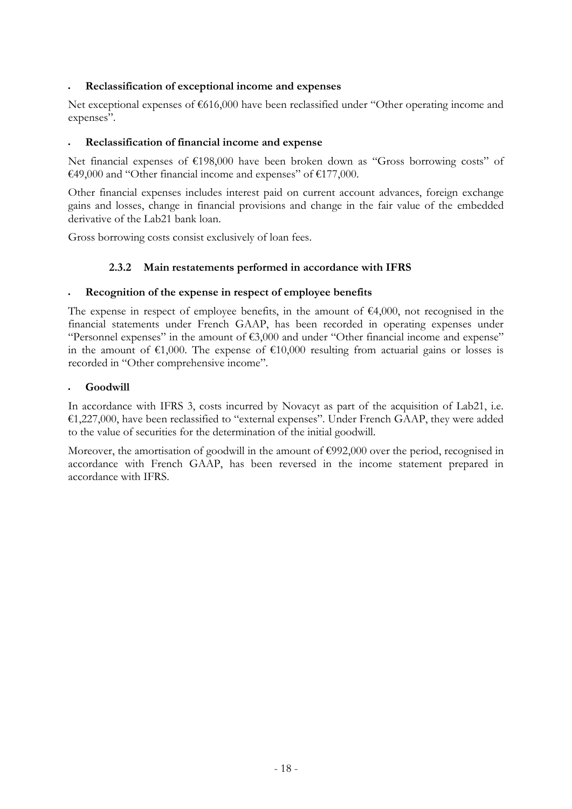## **Reclassification of exceptional income and expenses**

Net exceptional expenses of €616,000 have been reclassified under "Other operating income and expenses".

#### **Reclassification of financial income and expense**

Net financial expenses of  $\epsilon$ 198,000 have been broken down as "Gross borrowing costs" of €49,000 and "Other financial income and expenses" of €177,000.

Other financial expenses includes interest paid on current account advances, foreign exchange gains and losses, change in financial provisions and change in the fair value of the embedded derivative of the Lab21 bank loan.

Gross borrowing costs consist exclusively of loan fees.

## **2.3.2 Main restatements performed in accordance with IFRS**

#### **Recognition of the expense in respect of employee benefits**

The expense in respect of employee benefits, in the amount of  $\epsilon$ 4,000, not recognised in the financial statements under French GAAP, has been recorded in operating expenses under "Personnel expenses" in the amount of €3,000 and under "Other financial income and expense" in the amount of  $\epsilon 1,000$ . The expense of  $\epsilon 10,000$  resulting from actuarial gains or losses is recorded in "Other comprehensive income".

#### **Goodwill**

In accordance with IFRS 3, costs incurred by Novacyt as part of the acquisition of Lab21, i.e. €1,227,000, have been reclassified to "external expenses". Under French GAAP, they were added to the value of securities for the determination of the initial goodwill.

Moreover, the amortisation of goodwill in the amount of €992,000 over the period, recognised in accordance with French GAAP, has been reversed in the income statement prepared in accordance with IFRS.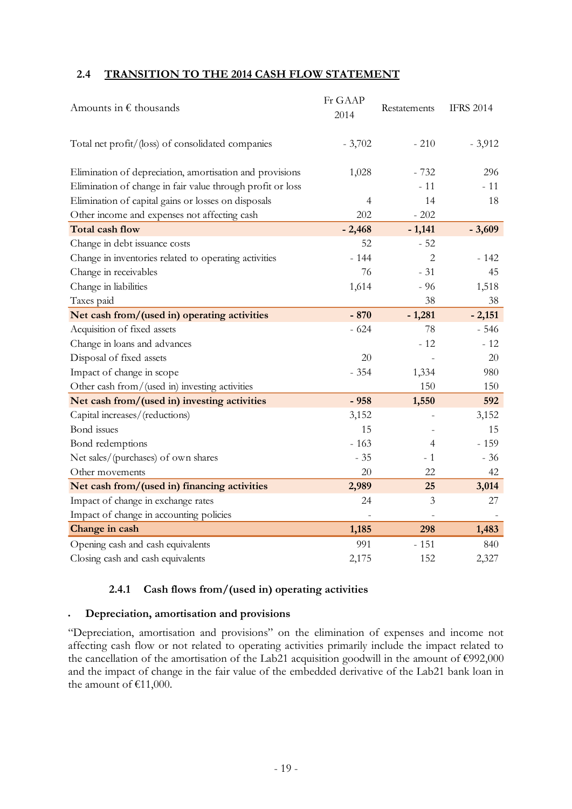## **2.4 TRANSITION TO THE 2014 CASH FLOW STATEMENT**

| Amounts in $\epsilon$ thousands                            | Fr GAAP<br>2014 | Restatements   | <b>IFRS 2014</b> |
|------------------------------------------------------------|-----------------|----------------|------------------|
| Total net profit/(loss) of consolidated companies          | $-3,702$        | $-210$         | $-3,912$         |
| Elimination of depreciation, amortisation and provisions   | 1,028           | $-732$         | 296              |
| Elimination of change in fair value through profit or loss |                 | $-11$          | $-11$            |
| Elimination of capital gains or losses on disposals        | 4               | 14             | 18               |
| Other income and expenses not affecting cash               | 202             | $-202$         |                  |
| <b>Total cash flow</b>                                     | $-2,468$        | $-1,141$       | $-3,609$         |
| Change in debt issuance costs                              | 52              | $-52$          |                  |
| Change in inventories related to operating activities      | $-144$          | $\overline{c}$ | - 142            |
| Change in receivables                                      | 76              | $-31$          | 45               |
| Change in liabilities                                      | 1,614           | $-96$          | 1,518            |
| Taxes paid                                                 |                 | 38             | 38               |
| Net cash from/(used in) operating activities               | $-870$          | $-1,281$       | $-2,151$         |
| Acquisition of fixed assets                                | $-624$          | 78             | $-546$           |
| Change in loans and advances                               |                 | $-12$          | - 12             |
| Disposal of fixed assets                                   | 20              |                | 20               |
| Impact of change in scope                                  | $-354$          | 1,334          | 980              |
| Other cash from/(used in) investing activities             |                 | 150            | 150              |
| Net cash from/(used in) investing activities               | $-958$          | 1,550          | 592              |
| Capital increases/(reductions)                             | 3,152           |                | 3,152            |
| Bond issues                                                | 15              |                | 15               |
| Bond redemptions                                           | $-163$          | 4              | $-159$           |
| Net sales/(purchases) of own shares                        | $-35$           | $-1$           | $-36$            |
| Other movements                                            | 20              | 22             | 42               |
| Net cash from/(used in) financing activities               | 2,989           | 25             | 3,014            |
| Impact of change in exchange rates                         | 24              | 3              | 27               |
| Impact of change in accounting policies                    |                 |                |                  |
| Change in cash                                             | 1,185           | 298            | 1,483            |
| Opening cash and cash equivalents                          | 991             | $-151$         | 840              |
| Closing cash and cash equivalents                          | 2,175           | 152            | 2,327            |

## **2.4.1 Cash flows from/(used in) operating activities**

#### **Depreciation, amortisation and provisions**

"Depreciation, amortisation and provisions" on the elimination of expenses and income not affecting cash flow or not related to operating activities primarily include the impact related to the cancellation of the amortisation of the Lab21 acquisition goodwill in the amount of €992,000 and the impact of change in the fair value of the embedded derivative of the Lab21 bank loan in the amount of €11,000.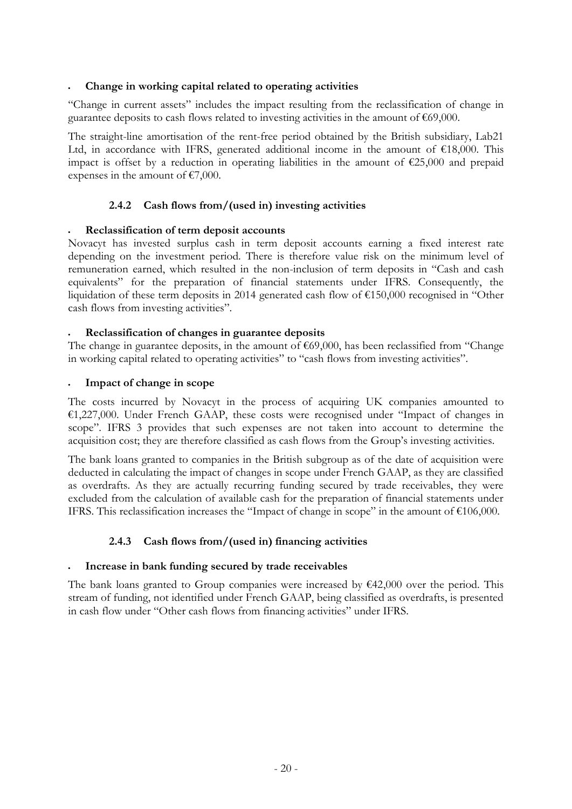#### **Change in working capital related to operating activities**

"Change in current assets" includes the impact resulting from the reclassification of change in guarantee deposits to cash flows related to investing activities in the amount of €69,000.

The straight-line amortisation of the rent-free period obtained by the British subsidiary, Lab21 Ltd, in accordance with IFRS, generated additional income in the amount of  $\text{\textsterling}18,000$ . This impact is offset by a reduction in operating liabilities in the amount of  $\epsilon$ 25,000 and prepaid expenses in the amount of  $\epsilon$ 7,000.

#### **2.4.2 Cash flows from/(used in) investing activities**

#### **Reclassification of term deposit accounts**

Novacyt has invested surplus cash in term deposit accounts earning a fixed interest rate depending on the investment period. There is therefore value risk on the minimum level of remuneration earned, which resulted in the non-inclusion of term deposits in "Cash and cash equivalents" for the preparation of financial statements under IFRS. Consequently, the liquidation of these term deposits in 2014 generated cash flow of €150,000 recognised in "Other cash flows from investing activities".

#### **Reclassification of changes in guarantee deposits**

The change in guarantee deposits, in the amount of €69,000, has been reclassified from "Change in working capital related to operating activities" to "cash flows from investing activities".

#### **Impact of change in scope**

The costs incurred by Novacyt in the process of acquiring UK companies amounted to €1,227,000. Under French GAAP, these costs were recognised under "Impact of changes in scope". IFRS 3 provides that such expenses are not taken into account to determine the acquisition cost; they are therefore classified as cash flows from the Group's investing activities.

The bank loans granted to companies in the British subgroup as of the date of acquisition were deducted in calculating the impact of changes in scope under French GAAP, as they are classified as overdrafts. As they are actually recurring funding secured by trade receivables, they were excluded from the calculation of available cash for the preparation of financial statements under IFRS. This reclassification increases the "Impact of change in scope" in the amount of €106,000.

## **2.4.3 Cash flows from/(used in) financing activities**

#### **Increase in bank funding secured by trade receivables**

The bank loans granted to Group companies were increased by  $\epsilon$ 42,000 over the period. This stream of funding, not identified under French GAAP, being classified as overdrafts, is presented in cash flow under "Other cash flows from financing activities" under IFRS.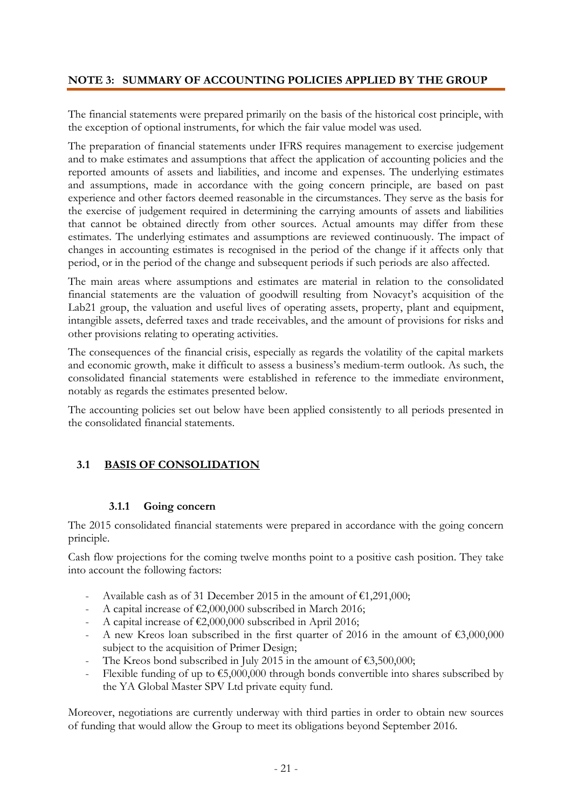## **NOTE 3: SUMMARY OF ACCOUNTING POLICIES APPLIED BY THE GROUP**

The financial statements were prepared primarily on the basis of the historical cost principle, with the exception of optional instruments, for which the fair value model was used.

The preparation of financial statements under IFRS requires management to exercise judgement and to make estimates and assumptions that affect the application of accounting policies and the reported amounts of assets and liabilities, and income and expenses. The underlying estimates and assumptions, made in accordance with the going concern principle, are based on past experience and other factors deemed reasonable in the circumstances. They serve as the basis for the exercise of judgement required in determining the carrying amounts of assets and liabilities that cannot be obtained directly from other sources. Actual amounts may differ from these estimates. The underlying estimates and assumptions are reviewed continuously. The impact of changes in accounting estimates is recognised in the period of the change if it affects only that period, or in the period of the change and subsequent periods if such periods are also affected.

The main areas where assumptions and estimates are material in relation to the consolidated financial statements are the valuation of goodwill resulting from Novacyt's acquisition of the Lab21 group, the valuation and useful lives of operating assets, property, plant and equipment, intangible assets, deferred taxes and trade receivables, and the amount of provisions for risks and other provisions relating to operating activities.

The consequences of the financial crisis, especially as regards the volatility of the capital markets and economic growth, make it difficult to assess a business's medium-term outlook. As such, the consolidated financial statements were established in reference to the immediate environment, notably as regards the estimates presented below.

The accounting policies set out below have been applied consistently to all periods presented in the consolidated financial statements.

## **3.1 BASIS OF CONSOLIDATION**

#### **3.1.1 Going concern**

The 2015 consolidated financial statements were prepared in accordance with the going concern principle.

Cash flow projections for the coming twelve months point to a positive cash position. They take into account the following factors:

- Available cash as of 31 December 2015 in the amount of  $\epsilon$ 1,291,000;
- A capital increase of  $\epsilon$ 2,000,000 subscribed in March 2016;
- A capital increase of  $\text{\textsterling}2,000,000$  subscribed in April 2016;
- A new Kreos loan subscribed in the first quarter of 2016 in the amount of  $\epsilon$ 3,000,000 subject to the acquisition of Primer Design;
- The Kreos bond subscribed in July 2015 in the amount of  $\epsilon$ 3,500,000;
- Flexible funding of up to  $\epsilon$ 5,000,000 through bonds convertible into shares subscribed by the YA Global Master SPV Ltd private equity fund.

Moreover, negotiations are currently underway with third parties in order to obtain new sources of funding that would allow the Group to meet its obligations beyond September 2016.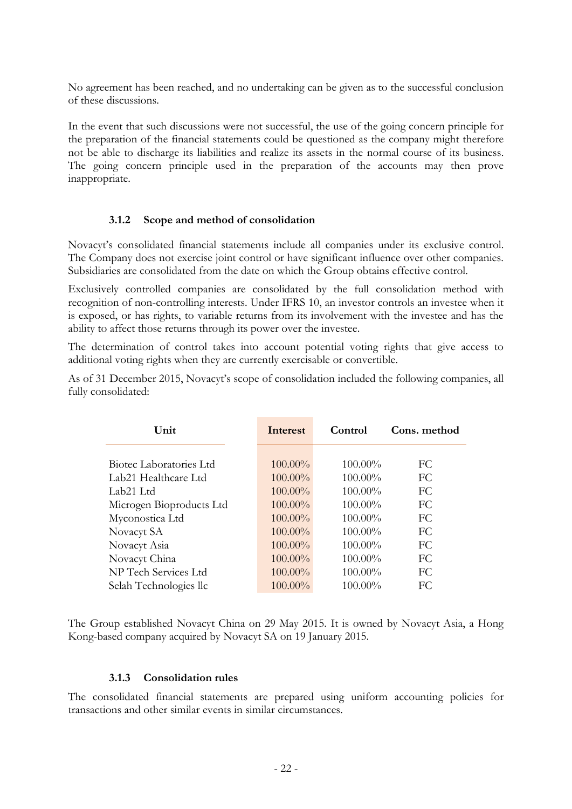No agreement has been reached, and no undertaking can be given as to the successful conclusion of these discussions.

In the event that such discussions were not successful, the use of the going concern principle for the preparation of the financial statements could be questioned as the company might therefore not be able to discharge its liabilities and realize its assets in the normal course of its business. The going concern principle used in the preparation of the accounts may then prove inappropriate.

#### **3.1.2 Scope and method of consolidation**

Novacyt's consolidated financial statements include all companies under its exclusive control. The Company does not exercise joint control or have significant influence over other companies. Subsidiaries are consolidated from the date on which the Group obtains effective control.

Exclusively controlled companies are consolidated by the full consolidation method with recognition of non-controlling interests. Under IFRS 10, an investor controls an investee when it is exposed, or has rights, to variable returns from its involvement with the investee and has the ability to affect those returns through its power over the investee.

The determination of control takes into account potential voting rights that give access to additional voting rights when they are currently exercisable or convertible.

As of 31 December 2015, Novacyt's scope of consolidation included the following companies, all fully consolidated:

| Unit                     | Interest   | Control    | Cons. method |
|--------------------------|------------|------------|--------------|
|                          |            |            |              |
| Biotec Laboratories Ltd  | $100.00\%$ | $100.00\%$ | FC           |
| Lab21 Healthcare Ltd     | $100.00\%$ | $100.00\%$ | FC.          |
| Lab21 Ltd                | $100.00\%$ | $100.00\%$ | FC.          |
| Microgen Bioproducts Ltd | $100.00\%$ | $100.00\%$ | FC           |
| Myconostica Ltd          | $100.00\%$ | $100.00\%$ | FC           |
| Novacyt SA               | $100.00\%$ | $100.00\%$ | FC.          |
| Novacyt Asia             | $100.00\%$ | $100.00\%$ | FC.          |
| Novacyt China            | $100.00\%$ | 100.00%    | FC.          |
| NP Tech Services Ltd     | $100.00\%$ | 100.00%    | FC.          |
| Selah Technologies llc   | $100.00\%$ | 100.00%    | FC           |

The Group established Novacyt China on 29 May 2015. It is owned by Novacyt Asia, a Hong Kong-based company acquired by Novacyt SA on 19 January 2015.

#### **3.1.3 Consolidation rules**

The consolidated financial statements are prepared using uniform accounting policies for transactions and other similar events in similar circumstances.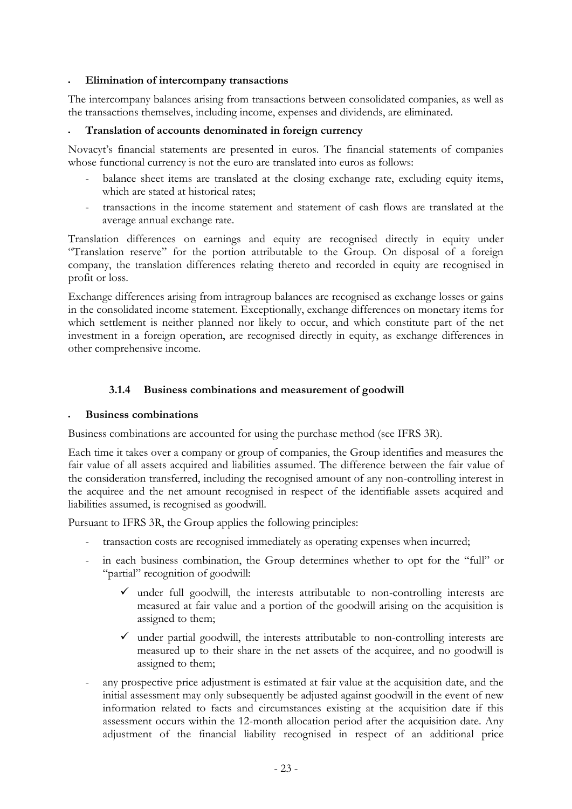#### **Elimination of intercompany transactions**

The intercompany balances arising from transactions between consolidated companies, as well as the transactions themselves, including income, expenses and dividends, are eliminated.

#### **Translation of accounts denominated in foreign currency**

Novacyt's financial statements are presented in euros. The financial statements of companies whose functional currency is not the euro are translated into euros as follows:

- balance sheet items are translated at the closing exchange rate, excluding equity items, which are stated at historical rates:
- transactions in the income statement and statement of cash flows are translated at the average annual exchange rate.

Translation differences on earnings and equity are recognised directly in equity under "Translation reserve" for the portion attributable to the Group. On disposal of a foreign company, the translation differences relating thereto and recorded in equity are recognised in profit or loss.

Exchange differences arising from intragroup balances are recognised as exchange losses or gains in the consolidated income statement. Exceptionally, exchange differences on monetary items for which settlement is neither planned nor likely to occur, and which constitute part of the net investment in a foreign operation, are recognised directly in equity, as exchange differences in other comprehensive income.

## **3.1.4 Business combinations and measurement of goodwill**

#### **Business combinations**

Business combinations are accounted for using the purchase method (see IFRS 3R).

Each time it takes over a company or group of companies, the Group identifies and measures the fair value of all assets acquired and liabilities assumed. The difference between the fair value of the consideration transferred, including the recognised amount of any non-controlling interest in the acquiree and the net amount recognised in respect of the identifiable assets acquired and liabilities assumed, is recognised as goodwill.

Pursuant to IFRS 3R, the Group applies the following principles:

- transaction costs are recognised immediately as operating expenses when incurred;
- in each business combination, the Group determines whether to opt for the "full" or "partial" recognition of goodwill:
	- $\checkmark$  under full goodwill, the interests attributable to non-controlling interests are measured at fair value and a portion of the goodwill arising on the acquisition is assigned to them;
	- $\checkmark$  under partial goodwill, the interests attributable to non-controlling interests are measured up to their share in the net assets of the acquiree, and no goodwill is assigned to them;
- any prospective price adjustment is estimated at fair value at the acquisition date, and the initial assessment may only subsequently be adjusted against goodwill in the event of new information related to facts and circumstances existing at the acquisition date if this assessment occurs within the 12-month allocation period after the acquisition date. Any adjustment of the financial liability recognised in respect of an additional price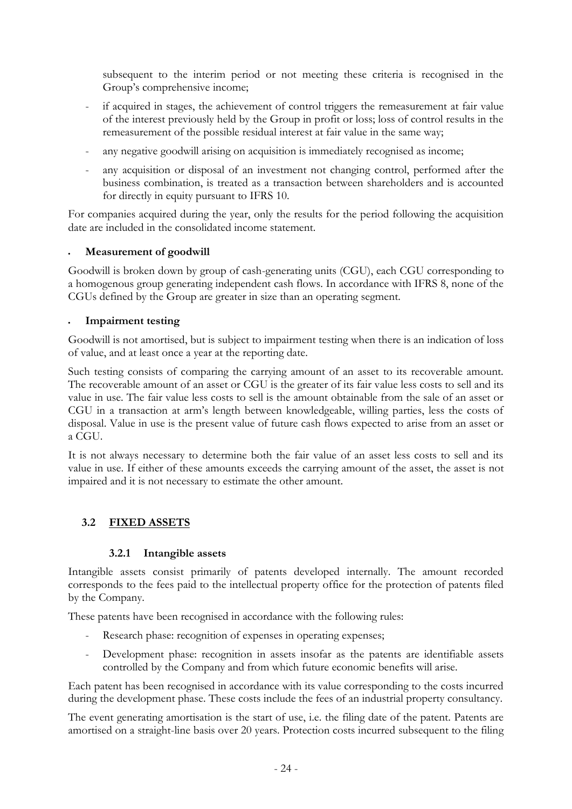subsequent to the interim period or not meeting these criteria is recognised in the Group's comprehensive income;

- if acquired in stages, the achievement of control triggers the remeasurement at fair value of the interest previously held by the Group in profit or loss; loss of control results in the remeasurement of the possible residual interest at fair value in the same way;
- any negative goodwill arising on acquisition is immediately recognised as income;
- any acquisition or disposal of an investment not changing control, performed after the business combination, is treated as a transaction between shareholders and is accounted for directly in equity pursuant to IFRS 10.

For companies acquired during the year, only the results for the period following the acquisition date are included in the consolidated income statement.

## **Measurement of goodwill**

Goodwill is broken down by group of cash-generating units (CGU), each CGU corresponding to a homogenous group generating independent cash flows. In accordance with IFRS 8, none of the CGUs defined by the Group are greater in size than an operating segment.

## **Impairment testing**

Goodwill is not amortised, but is subject to impairment testing when there is an indication of loss of value, and at least once a year at the reporting date.

Such testing consists of comparing the carrying amount of an asset to its recoverable amount. The recoverable amount of an asset or CGU is the greater of its fair value less costs to sell and its value in use. The fair value less costs to sell is the amount obtainable from the sale of an asset or CGU in a transaction at arm's length between knowledgeable, willing parties, less the costs of disposal. Value in use is the present value of future cash flows expected to arise from an asset or a CGU.

It is not always necessary to determine both the fair value of an asset less costs to sell and its value in use. If either of these amounts exceeds the carrying amount of the asset, the asset is not impaired and it is not necessary to estimate the other amount.

## **3.2 FIXED ASSETS**

## **3.2.1 Intangible assets**

Intangible assets consist primarily of patents developed internally. The amount recorded corresponds to the fees paid to the intellectual property office for the protection of patents filed by the Company.

These patents have been recognised in accordance with the following rules:

- Research phase: recognition of expenses in operating expenses;
- Development phase: recognition in assets insofar as the patents are identifiable assets controlled by the Company and from which future economic benefits will arise.

Each patent has been recognised in accordance with its value corresponding to the costs incurred during the development phase. These costs include the fees of an industrial property consultancy.

The event generating amortisation is the start of use, i.e. the filing date of the patent. Patents are amortised on a straight-line basis over 20 years. Protection costs incurred subsequent to the filing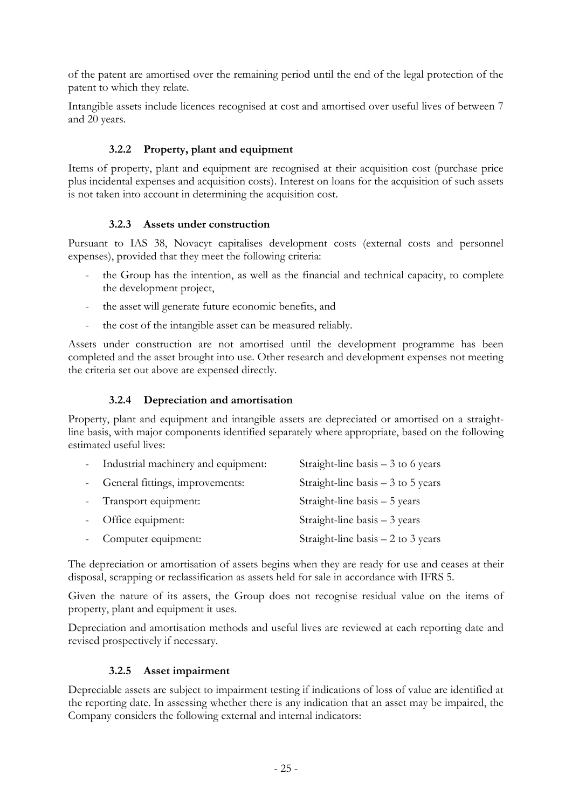of the patent are amortised over the remaining period until the end of the legal protection of the patent to which they relate.

Intangible assets include licences recognised at cost and amortised over useful lives of between 7 and 20 years.

## **3.2.2 Property, plant and equipment**

Items of property, plant and equipment are recognised at their acquisition cost (purchase price plus incidental expenses and acquisition costs). Interest on loans for the acquisition of such assets is not taken into account in determining the acquisition cost.

#### **3.2.3 Assets under construction**

Pursuant to IAS 38, Novacyt capitalises development costs (external costs and personnel expenses), provided that they meet the following criteria:

- the Group has the intention, as well as the financial and technical capacity, to complete the development project,
- the asset will generate future economic benefits, and
- the cost of the intangible asset can be measured reliably.

Assets under construction are not amortised until the development programme has been completed and the asset brought into use. Other research and development expenses not meeting the criteria set out above are expensed directly.

## **3.2.4 Depreciation and amortisation**

Property, plant and equipment and intangible assets are depreciated or amortised on a straightline basis, with major components identified separately where appropriate, based on the following estimated useful lives:

| - Industrial machinery and equipment: | Straight-line basis $-3$ to 6 years |
|---------------------------------------|-------------------------------------|
| - General fittings, improvements:     | Straight-line basis $-3$ to 5 years |
| - Transport equipment:                | Straight-line basis – 5 years       |
| - Office equipment:                   | Straight-line basis $-3$ years      |
| Computer equipment:                   | Straight-line basis $-2$ to 3 years |

The depreciation or amortisation of assets begins when they are ready for use and ceases at their disposal, scrapping or reclassification as assets held for sale in accordance with IFRS 5.

Given the nature of its assets, the Group does not recognise residual value on the items of property, plant and equipment it uses.

Depreciation and amortisation methods and useful lives are reviewed at each reporting date and revised prospectively if necessary.

## **3.2.5 Asset impairment**

Depreciable assets are subject to impairment testing if indications of loss of value are identified at the reporting date. In assessing whether there is any indication that an asset may be impaired, the Company considers the following external and internal indicators: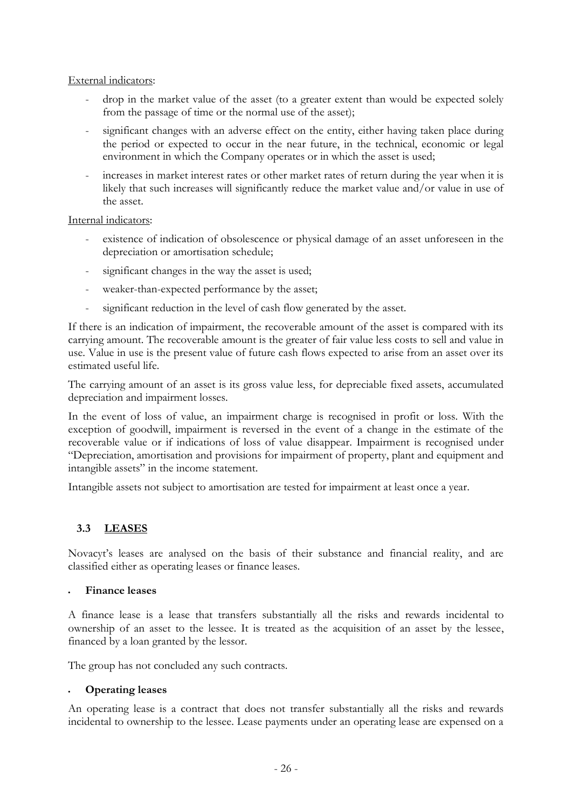#### External indicators:

- drop in the market value of the asset (to a greater extent than would be expected solely from the passage of time or the normal use of the asset);
- significant changes with an adverse effect on the entity, either having taken place during the period or expected to occur in the near future, in the technical, economic or legal environment in which the Company operates or in which the asset is used;
- increases in market interest rates or other market rates of return during the year when it is likely that such increases will significantly reduce the market value and/or value in use of the asset.

#### Internal indicators:

- existence of indication of obsolescence or physical damage of an asset unforeseen in the depreciation or amortisation schedule;
- significant changes in the way the asset is used;
- weaker-than-expected performance by the asset;
- significant reduction in the level of cash flow generated by the asset.

If there is an indication of impairment, the recoverable amount of the asset is compared with its carrying amount. The recoverable amount is the greater of fair value less costs to sell and value in use. Value in use is the present value of future cash flows expected to arise from an asset over its estimated useful life.

The carrying amount of an asset is its gross value less, for depreciable fixed assets, accumulated depreciation and impairment losses.

In the event of loss of value, an impairment charge is recognised in profit or loss. With the exception of goodwill, impairment is reversed in the event of a change in the estimate of the recoverable value or if indications of loss of value disappear. Impairment is recognised under "Depreciation, amortisation and provisions for impairment of property, plant and equipment and intangible assets" in the income statement.

Intangible assets not subject to amortisation are tested for impairment at least once a year.

## **3.3 LEASES**

Novacyt's leases are analysed on the basis of their substance and financial reality, and are classified either as operating leases or finance leases.

#### **Finance leases**

A finance lease is a lease that transfers substantially all the risks and rewards incidental to ownership of an asset to the lessee. It is treated as the acquisition of an asset by the lessee, financed by a loan granted by the lessor.

The group has not concluded any such contracts.

## **Operating leases**

An operating lease is a contract that does not transfer substantially all the risks and rewards incidental to ownership to the lessee. Lease payments under an operating lease are expensed on a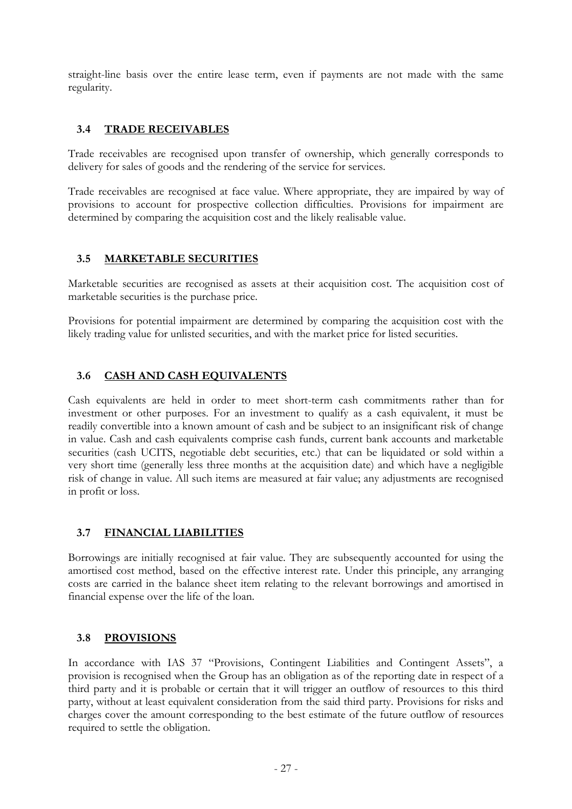straight-line basis over the entire lease term, even if payments are not made with the same regularity.

## **3.4 TRADE RECEIVABLES**

Trade receivables are recognised upon transfer of ownership, which generally corresponds to delivery for sales of goods and the rendering of the service for services.

Trade receivables are recognised at face value. Where appropriate, they are impaired by way of provisions to account for prospective collection difficulties. Provisions for impairment are determined by comparing the acquisition cost and the likely realisable value.

## **3.5 MARKETABLE SECURITIES**

Marketable securities are recognised as assets at their acquisition cost. The acquisition cost of marketable securities is the purchase price.

Provisions for potential impairment are determined by comparing the acquisition cost with the likely trading value for unlisted securities, and with the market price for listed securities.

#### **3.6 CASH AND CASH EQUIVALENTS**

Cash equivalents are held in order to meet short-term cash commitments rather than for investment or other purposes. For an investment to qualify as a cash equivalent, it must be readily convertible into a known amount of cash and be subject to an insignificant risk of change in value. Cash and cash equivalents comprise cash funds, current bank accounts and marketable securities (cash UCITS, negotiable debt securities, etc.) that can be liquidated or sold within a very short time (generally less three months at the acquisition date) and which have a negligible risk of change in value. All such items are measured at fair value; any adjustments are recognised in profit or loss.

#### **3.7 FINANCIAL LIABILITIES**

Borrowings are initially recognised at fair value. They are subsequently accounted for using the amortised cost method, based on the effective interest rate. Under this principle, any arranging costs are carried in the balance sheet item relating to the relevant borrowings and amortised in financial expense over the life of the loan.

#### **3.8 PROVISIONS**

In accordance with IAS 37 "Provisions, Contingent Liabilities and Contingent Assets", a provision is recognised when the Group has an obligation as of the reporting date in respect of a third party and it is probable or certain that it will trigger an outflow of resources to this third party, without at least equivalent consideration from the said third party. Provisions for risks and charges cover the amount corresponding to the best estimate of the future outflow of resources required to settle the obligation.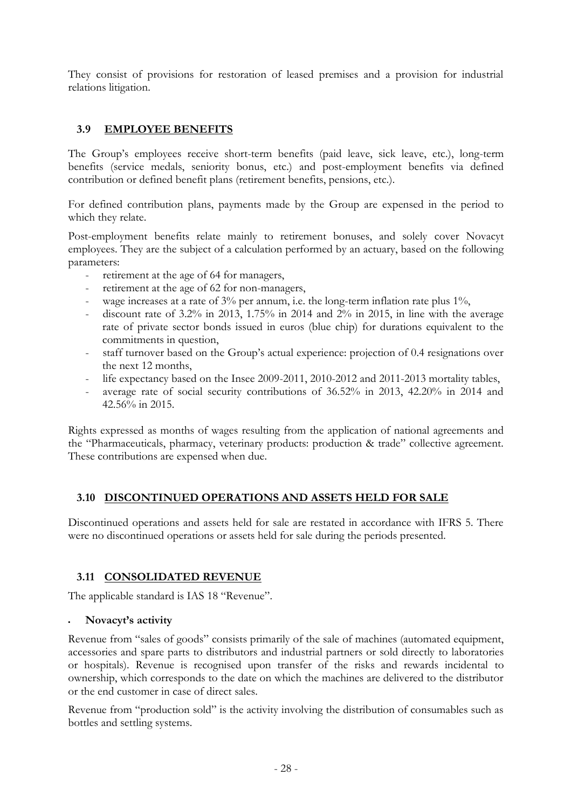They consist of provisions for restoration of leased premises and a provision for industrial relations litigation.

## **3.9 EMPLOYEE BENEFITS**

The Group's employees receive short-term benefits (paid leave, sick leave, etc.), long-term benefits (service medals, seniority bonus, etc.) and post-employment benefits via defined contribution or defined benefit plans (retirement benefits, pensions, etc.).

For defined contribution plans, payments made by the Group are expensed in the period to which they relate.

Post-employment benefits relate mainly to retirement bonuses, and solely cover Novacyt employees. They are the subject of a calculation performed by an actuary, based on the following parameters:

- retirement at the age of 64 for managers,
- retirement at the age of 62 for non-managers,
- wage increases at a rate of 3% per annum, i.e. the long-term inflation rate plus 1%,
- discount rate of  $3.2\%$  in 2013,  $1.75\%$  in 2014 and  $2\%$  in 2015, in line with the average rate of private sector bonds issued in euros (blue chip) for durations equivalent to the commitments in question,
- staff turnover based on the Group's actual experience: projection of 0.4 resignations over the next 12 months,
- life expectancy based on the Insee 2009-2011, 2010-2012 and 2011-2013 mortality tables,
- average rate of social security contributions of 36.52% in 2013, 42.20% in 2014 and 42.56% in 2015.

Rights expressed as months of wages resulting from the application of national agreements and the "Pharmaceuticals, pharmacy, veterinary products: production & trade" collective agreement. These contributions are expensed when due.

## **3.10 DISCONTINUED OPERATIONS AND ASSETS HELD FOR SALE**

Discontinued operations and assets held for sale are restated in accordance with IFRS 5. There were no discontinued operations or assets held for sale during the periods presented.

## **3.11 CONSOLIDATED REVENUE**

The applicable standard is IAS 18 "Revenue".

#### **Novacyt's activity**

Revenue from "sales of goods" consists primarily of the sale of machines (automated equipment, accessories and spare parts to distributors and industrial partners or sold directly to laboratories or hospitals). Revenue is recognised upon transfer of the risks and rewards incidental to ownership, which corresponds to the date on which the machines are delivered to the distributor or the end customer in case of direct sales.

Revenue from "production sold" is the activity involving the distribution of consumables such as bottles and settling systems.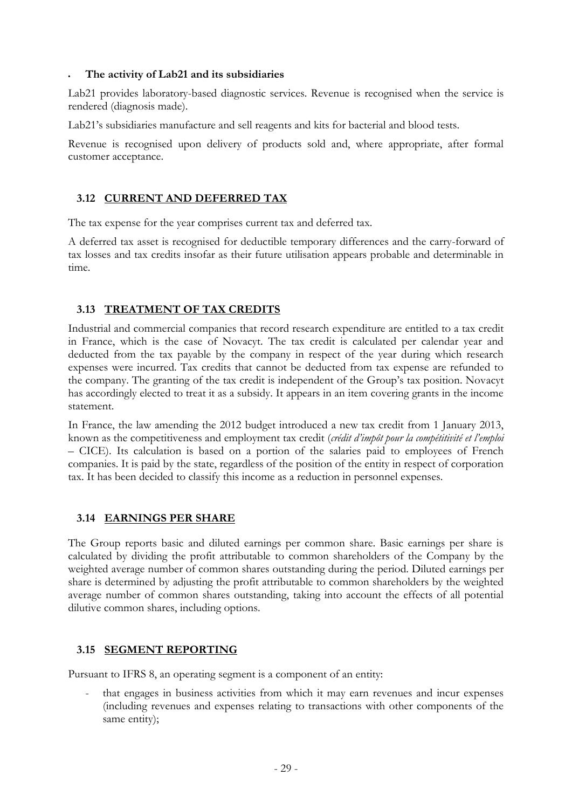#### **The activity of Lab21 and its subsidiaries**

Lab21 provides laboratory-based diagnostic services. Revenue is recognised when the service is rendered (diagnosis made).

Lab21's subsidiaries manufacture and sell reagents and kits for bacterial and blood tests.

Revenue is recognised upon delivery of products sold and, where appropriate, after formal customer acceptance.

## **3.12 CURRENT AND DEFERRED TAX**

The tax expense for the year comprises current tax and deferred tax.

A deferred tax asset is recognised for deductible temporary differences and the carry-forward of tax losses and tax credits insofar as their future utilisation appears probable and determinable in time.

## **3.13 TREATMENT OF TAX CREDITS**

Industrial and commercial companies that record research expenditure are entitled to a tax credit in France, which is the case of Novacyt. The tax credit is calculated per calendar year and deducted from the tax payable by the company in respect of the year during which research expenses were incurred. Tax credits that cannot be deducted from tax expense are refunded to the company. The granting of the tax credit is independent of the Group's tax position. Novacyt has accordingly elected to treat it as a subsidy. It appears in an item covering grants in the income statement.

In France, the law amending the 2012 budget introduced a new tax credit from 1 January 2013, known as the competitiveness and employment tax credit (*crédit d'impôt pour la compétitivité et l'emploi* – CICE). Its calculation is based on a portion of the salaries paid to employees of French companies. It is paid by the state, regardless of the position of the entity in respect of corporation tax. It has been decided to classify this income as a reduction in personnel expenses.

## **3.14 EARNINGS PER SHARE**

The Group reports basic and diluted earnings per common share. Basic earnings per share is calculated by dividing the profit attributable to common shareholders of the Company by the weighted average number of common shares outstanding during the period. Diluted earnings per share is determined by adjusting the profit attributable to common shareholders by the weighted average number of common shares outstanding, taking into account the effects of all potential dilutive common shares, including options.

## **3.15 SEGMENT REPORTING**

Pursuant to IFRS 8, an operating segment is a component of an entity:

that engages in business activities from which it may earn revenues and incur expenses (including revenues and expenses relating to transactions with other components of the same entity);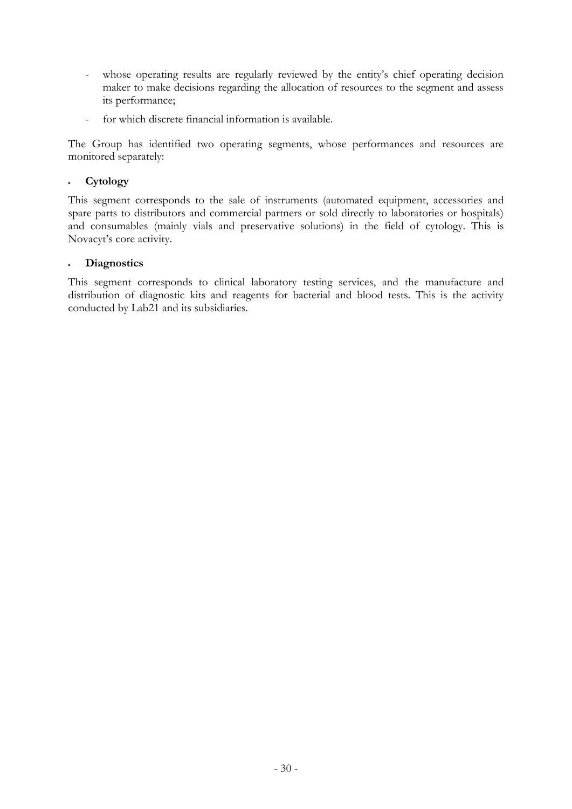- whose operating results are regularly reviewed by the entity's chief operating decision maker to make decisions regarding the allocation of resources to the segment and assess its performance;
- for which discrete financial information is available.

The Group has identified two operating segments, whose performances and resources are monitored separately:

#### **Cytology**

This segment corresponds to the sale of instruments (automated equipment, accessories and spare parts to distributors and commercial partners or sold directly to laboratories or hospitals) and consumables (mainly vials and preservative solutions) in the field of cytology. This is Novacyt's core activity.

#### **Diagnostics**

This segment corresponds to clinical laboratory testing services, and the manufacture and distribution of diagnostic kits and reagents for bacterial and blood tests. This is the activity conducted by Lab21 and its subsidiaries.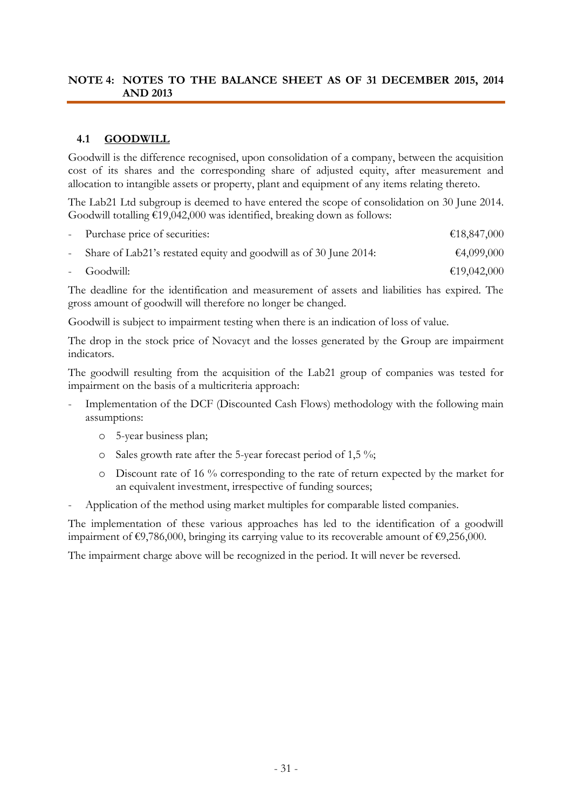#### **NOTE 4: NOTES TO THE BALANCE SHEET AS OF 31 DECEMBER 2015, 2014 AND 2013**

## **4.1 GOODWILL**

Goodwill is the difference recognised, upon consolidation of a company, between the acquisition cost of its shares and the corresponding share of adjusted equity, after measurement and allocation to intangible assets or property, plant and equipment of any items relating thereto.

The Lab21 Ltd subgroup is deemed to have entered the scope of consolidation on 30 June 2014. Goodwill totalling €19,042,000 was identified, breaking down as follows:

| - Purchase price of securities:                                     | €18,847,000 |
|---------------------------------------------------------------------|-------------|
| - Share of Lab21's restated equity and goodwill as of 30 June 2014: | €4,099,000  |
| - Goodwill:                                                         | €19,042,000 |

The deadline for the identification and measurement of assets and liabilities has expired. The gross amount of goodwill will therefore no longer be changed.

Goodwill is subject to impairment testing when there is an indication of loss of value.

The drop in the stock price of Novacyt and the losses generated by the Group are impairment indicators.

The goodwill resulting from the acquisition of the Lab21 group of companies was tested for impairment on the basis of a multicriteria approach:

- Implementation of the DCF (Discounted Cash Flows) methodology with the following main assumptions:
	- o 5-year business plan;
	- o Sales growth rate after the 5-year forecast period of 1,5 %;
	- o Discount rate of 16 % corresponding to the rate of return expected by the market for an equivalent investment, irrespective of funding sources;
- Application of the method using market multiples for comparable listed companies.

The implementation of these various approaches has led to the identification of a goodwill impairment of  $\epsilon$ 9,786,000, bringing its carrying value to its recoverable amount of  $\epsilon$ 9,256,000.

The impairment charge above will be recognized in the period. It will never be reversed.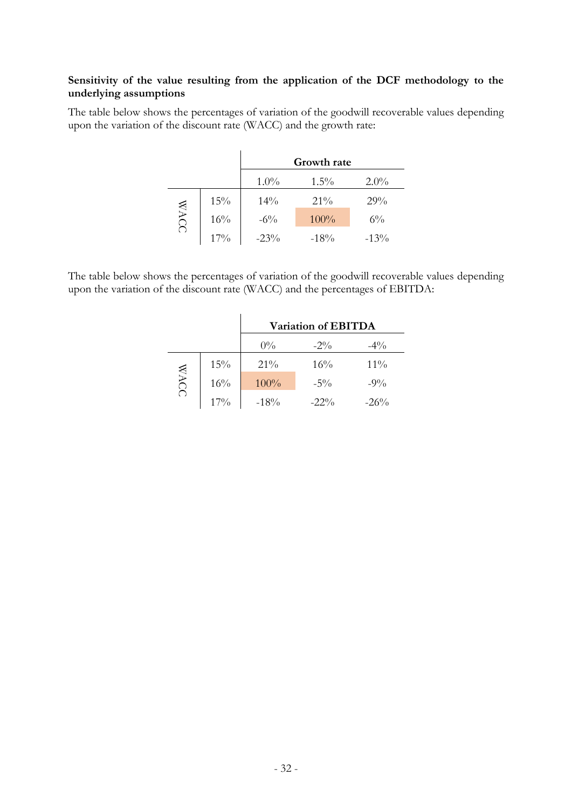#### **Sensitivity of the value resulting from the application of the DCF methodology to the underlying assumptions**

The table below shows the percentages of variation of the goodwill recoverable values depending upon the variation of the discount rate (WACC) and the growth rate:

|             |        |         | Growth rate |          |
|-------------|--------|---------|-------------|----------|
|             |        | $1.0\%$ | $1.5\%$     | $2.0\%$  |
|             | 15%    | 14%     | $21\%$      | 29%      |
| <b>WACC</b> | 16%    | $-6\%$  | 100%        | $6\%$    |
|             | $17\%$ | $-23\%$ | $-18\%$     | $-1.3\%$ |

The table below shows the percentages of variation of the goodwill recoverable values depending upon the variation of the discount rate (WACC) and the percentages of EBITDA:

|            |        | Variation of EBITDA |         |         |  |  |  |  |
|------------|--------|---------------------|---------|---------|--|--|--|--|
|            |        | $0\%$               | $-2\%$  | $-4\%$  |  |  |  |  |
|            | 15%    | $21\%$              | 16%     | $11\%$  |  |  |  |  |
| <b>WAC</b> | 16%    | 100%                | $-5\%$  | $-9\%$  |  |  |  |  |
|            | $17\%$ | $-18%$              | $-22\%$ | $-26\%$ |  |  |  |  |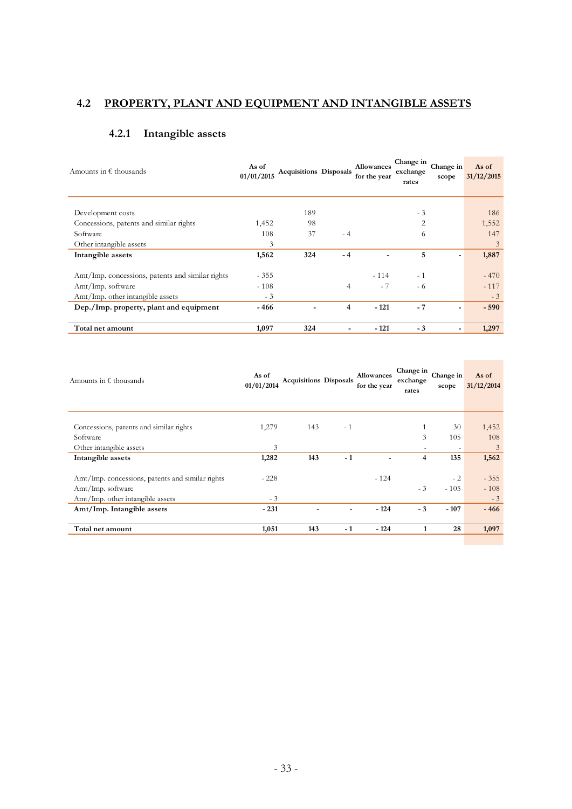# **4.2 PROPERTY, PLANT AND EQUIPMENT AND INTANGIBLE ASSETS**

# **4.2.1 Intangible assets**

| Amounts in $\epsilon$ thousands                  | As of<br>01/01/2015 | <b>Acquisitions Disposals</b> |                          | Allowances<br>for the year | Change in<br>exchange<br>rates | Change in<br>scope | As of<br>31/12/2015 |
|--------------------------------------------------|---------------------|-------------------------------|--------------------------|----------------------------|--------------------------------|--------------------|---------------------|
| Development costs                                |                     | 189                           |                          |                            | $-3$                           |                    | 186                 |
| Concessions, patents and similar rights          | 1,452               | 98                            |                          |                            | $\overline{2}$                 |                    | 1,552               |
| Software                                         | 108                 | 37                            | $-4$                     |                            | 6                              |                    | 147                 |
| Other intangible assets                          | 3                   |                               |                          |                            |                                |                    | 3                   |
| Intangible assets                                | 1,562               | 324                           | $-4$                     |                            | 5                              | -                  | 1,887               |
| Amt/Imp. concessions, patents and similar rights | $-355$              |                               |                          | $-114$                     | $-1$                           |                    | $-470$              |
| Amt/Imp. software                                | $-108$              |                               | $\overline{4}$           | $-7$                       | - 6                            |                    | $-117$              |
| Amt/Imp. other intangible assets                 | $-3$                |                               |                          |                            |                                |                    | $-3$                |
| Dep./Imp. property, plant and equipment          | - 466               | ٠                             | 4                        | $-121$                     | $-7$                           |                    | $-590$              |
| Total net amount                                 | 1,097               | 324                           | $\overline{\phantom{a}}$ | $-121$                     | $-3$                           | ۰                  | 1,297               |

| Amounts in $\epsilon$ thousands                  | As of<br>01/01/2014 | <b>Acquisitions Disposals</b> |                | Allowances<br>for the year | Change in<br>exchange<br>rates | Change in<br>scope | As of<br>31/12/2014 |
|--------------------------------------------------|---------------------|-------------------------------|----------------|----------------------------|--------------------------------|--------------------|---------------------|
|                                                  |                     |                               |                |                            |                                |                    |                     |
| Concessions, patents and similar rights          | 1,279               | 143                           | $-1$           |                            |                                | 30                 | 1,452               |
| Software                                         |                     |                               |                |                            | 3                              | 105                | 108                 |
| Other intangible assets                          | 3                   |                               |                |                            | $\overline{\phantom{a}}$       | ۰                  | 3                   |
| Intangible assets                                | 1,282               | 143                           | $-1$           |                            | $\overline{4}$                 | 135                | 1,562               |
|                                                  |                     |                               |                |                            |                                |                    |                     |
| Amt/Imp. concessions, patents and similar rights | $-228$              |                               |                | $-124$                     |                                | $-2$               | $-355$              |
| Amt/Imp. software                                |                     |                               |                |                            | $-3$                           | $-105$             | $-108$              |
| Amt/Imp. other intangible assets                 | $-3$                |                               |                |                            |                                |                    | $-3$                |
| Amt/Imp. Intangible assets                       | $-231$              | $\blacksquare$                | $\blacksquare$ | $-124$                     | $-3$                           | $-107$             | $-466$              |
|                                                  |                     |                               |                |                            |                                |                    |                     |
| Total net amount                                 | 1,051               | 143                           | $-1$           | $-124$                     | 1                              | 28                 | 1,097               |
|                                                  |                     |                               |                |                            |                                |                    |                     |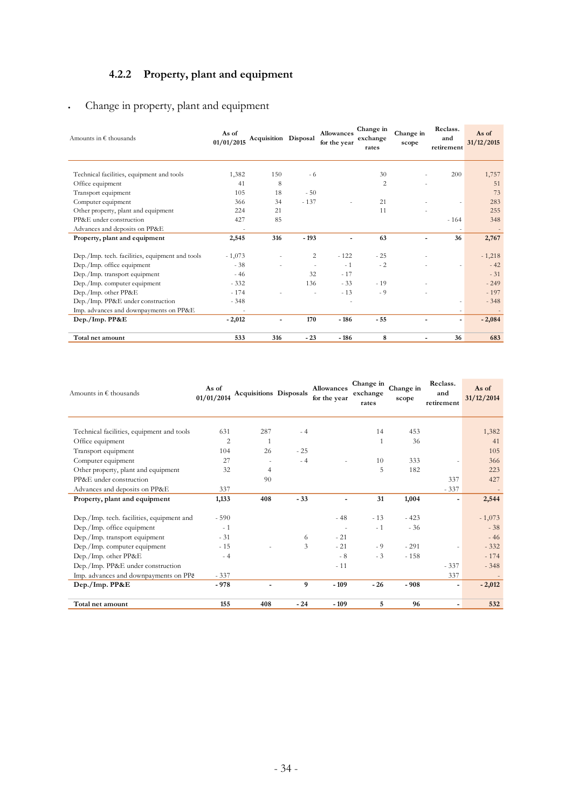# **4.2.2 Property, plant and equipment**

# Change in property, plant and equipment

| Amounts in $\epsilon$ thousands                 | As of<br>01/01/2015      | Acquisition Disposal |                | <b>Allowances</b><br>for the year | Change in<br>exchange<br>rates | Change in<br>scope | Reclass.<br>and<br>retirement | As of<br>31/12/2015 |
|-------------------------------------------------|--------------------------|----------------------|----------------|-----------------------------------|--------------------------------|--------------------|-------------------------------|---------------------|
| Technical facilities, equipment and tools       | 1,382                    | 150                  | - 6            |                                   | 30                             |                    | 200                           | 1,757               |
| Office equipment                                | 41                       | 8                    |                |                                   | $\overline{2}$                 |                    |                               | 51                  |
| Transport equipment                             | 105                      | 18                   | $-50$          |                                   |                                |                    |                               | 73                  |
| Computer equipment                              | 366                      | 34                   | $-137$         |                                   | 21                             |                    |                               | 283                 |
| Other property, plant and equipment             | 224                      | 21                   |                |                                   | 11                             |                    |                               | 255                 |
| PP&E under construction                         | 427                      | 85                   |                |                                   |                                |                    | $-164$                        | 348                 |
| Advances and deposits on PP&E                   |                          |                      |                |                                   |                                |                    |                               |                     |
| Property, plant and equipment                   | 2,545                    | 316                  | $-193$         |                                   | 63                             | ٠                  | 36                            | 2,767               |
| Dep./Imp. tech. facilities, equipment and tools | $-1,073$                 |                      | $\overline{c}$ | $-122$                            | $-25$                          |                    |                               | $-1,218$            |
| Dep./Imp. office equipment                      | $-38$                    |                      |                | $-1$                              | $-2$                           |                    |                               | $-42$               |
| Dep./Imp. transport equipment                   | $-46$                    |                      | 32             | $-17$                             |                                |                    |                               | $-31$               |
| Dep./Imp. computer equipment                    | $-332$                   |                      | 136            | $-33$                             | $-19$                          |                    |                               | $-249$              |
| Dep./Imp. other PP&E                            | $-174$                   |                      |                | $-13$                             | - 9                            |                    |                               | $-197$              |
| Dep./Imp. PP&E under construction               | $-348$                   |                      |                | $\overline{\phantom{a}}$          |                                |                    | $\overline{a}$                | $-348$              |
| Imp. advances and downpayments on PP&E          | $\overline{\phantom{a}}$ |                      |                |                                   |                                |                    |                               |                     |
| Dep./Imp. PP&E                                  | $-2,012$                 | $\blacksquare$       | 170            | $-186$                            | $-55$                          |                    | $\overline{\phantom{0}}$      | $-2,084$            |
| Total net amount                                | 533                      | 316                  | $-23$          | $-186$                            | 8                              | ۰                  | 36                            | 683                 |

| Amounts in $\epsilon$ thousands           | As of<br>01/01/2014 | <b>Acquisitions</b> Disposals |       | <b>Allowances</b><br>for the year | Change in<br>exchange<br>rates | Change in<br>scope | Reclass.<br>and<br>retirement | As of<br>31/12/2014 |
|-------------------------------------------|---------------------|-------------------------------|-------|-----------------------------------|--------------------------------|--------------------|-------------------------------|---------------------|
|                                           |                     |                               |       |                                   |                                |                    |                               |                     |
| Technical facilities, equipment and tools | 631                 | 287                           | $-4$  |                                   | 14                             | 453                |                               | 1,382               |
| Office equipment                          | 2                   | 1                             |       |                                   |                                | 36                 |                               | 41                  |
| Transport equipment                       | 104                 | 26                            | $-25$ |                                   |                                |                    |                               | 105                 |
| Computer equipment                        | 27                  | $\overline{\phantom{a}}$      | $-4$  |                                   | 10                             | 333                |                               | 366                 |
| Other property, plant and equipment       | 32                  | $\overline{4}$                |       |                                   | 5                              | 182                |                               | 223                 |
| PP&E under construction                   |                     | 90                            |       |                                   |                                |                    | 337                           | 427                 |
| Advances and deposits on PP&E             | 337                 |                               |       |                                   |                                |                    | $-337$                        |                     |
| Property, plant and equipment             | 1,133               | 408                           | $-33$ |                                   | 31                             | 1,004              |                               | 2,544               |
| Dep./Imp. tech. facilities, equipment and | $-590$              |                               |       | $-48$                             | $-13$                          | $-423$             |                               | $-1,073$            |
| Dep./Imp. office equipment                | $-1$                |                               |       |                                   | $-1$                           | $-36$              |                               | $-38$               |
| Dep./Imp. transport equipment             | $-31$               |                               | 6     | $-21$                             |                                |                    |                               | $-46$               |
| Dep./Imp. computer equipment              | $-15$               |                               | 3     | $-21$                             | $-9$                           | $-291$             | ٠                             | $-332$              |
| Dep./Imp. other PP&E                      | $-4$                |                               |       | $-8$                              | $-3$                           | $-158$             |                               | $-174$              |
| Dep./Imp. PP&E under construction         |                     |                               |       | $-11$                             |                                |                    | $-337$                        | $-348$              |
| Imp. advances and downpayments on PP&     | $-337$              |                               |       |                                   |                                |                    | 337                           |                     |
| Dep./Imp. PP&E                            | $-978$              |                               | 9     | $-109$                            | $-26$                          | $-908$             |                               | $-2,012$            |
| Total net amount                          | 155                 | 408                           | $-24$ | $-109$                            | 5                              | 96                 | -                             | 532                 |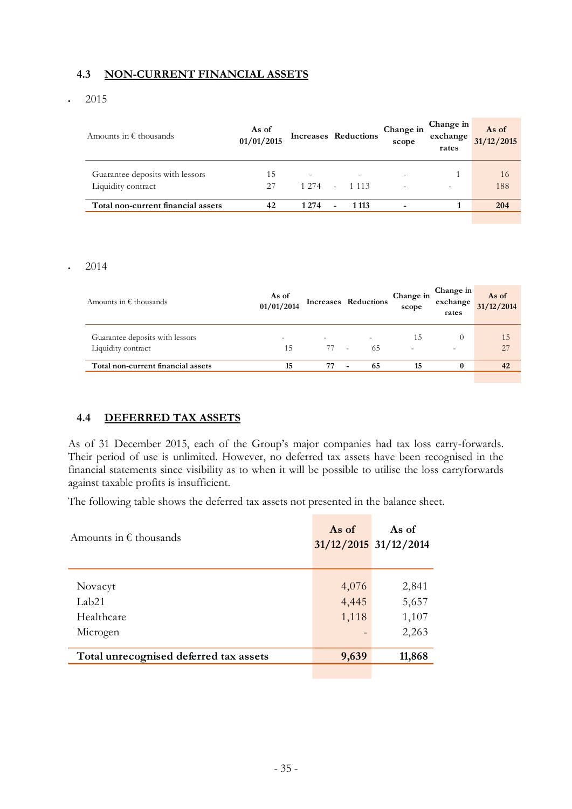## **4.3 NON-CURRENT FINANCIAL ASSETS**

2015

| Amounts in $\epsilon$ thousands    | As of<br>01/01/2015 |                          | <b>Increases Reductions</b> | Change in<br>scope       | Change in<br>exchange<br>rates | As of<br>31/12/2015 |
|------------------------------------|---------------------|--------------------------|-----------------------------|--------------------------|--------------------------------|---------------------|
| Guarantee deposits with lessors    | 15                  | $\overline{\phantom{a}}$ | -                           |                          |                                | 16                  |
| Liquidity contract                 | 27                  | 1 2 7 4                  | 1 1 1 3                     | $\overline{\phantom{a}}$ | ٠                              | 188                 |
| Total non-current financial assets | 42                  | 1274                     | 1 1 1 3                     |                          |                                | 204                 |
|                                    |                     |                          |                             |                          |                                |                     |

#### $\cdot$  2014

| Amounts in $\epsilon$ thousands    | As of<br>01/01/2014      |                          | Increases Reductions           | Change in<br>scope | Change in<br>exchange<br>rates | As of<br>31/12/2014 |
|------------------------------------|--------------------------|--------------------------|--------------------------------|--------------------|--------------------------------|---------------------|
| Guarantee deposits with lessors    | $\overline{\phantom{0}}$ | $\overline{\phantom{a}}$ | $\overline{\phantom{0}}$       | 15                 | $\theta$                       | 15                  |
| Liquidity contract                 | 15                       | 77                       | 65<br>$\sim$                   |                    | -                              | 27                  |
| Total non-current financial assets | 15                       | 77                       | 65<br>$\overline{\phantom{0}}$ | 15                 | $\bf{0}$                       | 42                  |
|                                    |                          |                          |                                |                    |                                |                     |

#### **4.4 DEFERRED TAX ASSETS**

As of 31 December 2015, each of the Group's major companies had tax loss carry-forwards. Their period of use is unlimited. However, no deferred tax assets have been recognised in the financial statements since visibility as to when it will be possible to utilise the loss carryforwards against taxable profits is insufficient.

The following table shows the deferred tax assets not presented in the balance sheet.

| Amounts in $\epsilon$ thousands        | As of           | As of<br>$31/12/2015$ 31/12/2014 |
|----------------------------------------|-----------------|----------------------------------|
|                                        |                 |                                  |
| Novacyt                                | 4,076           | 2,841                            |
| Lab <sub>21</sub>                      | 4,445           | 5,657                            |
| Healthcare                             | 1,118           | 1,107                            |
| Microgen                               | $\qquad \qquad$ | 2,263                            |
| Total unrecognised deferred tax assets | 9,639           | 11,868                           |
|                                        |                 |                                  |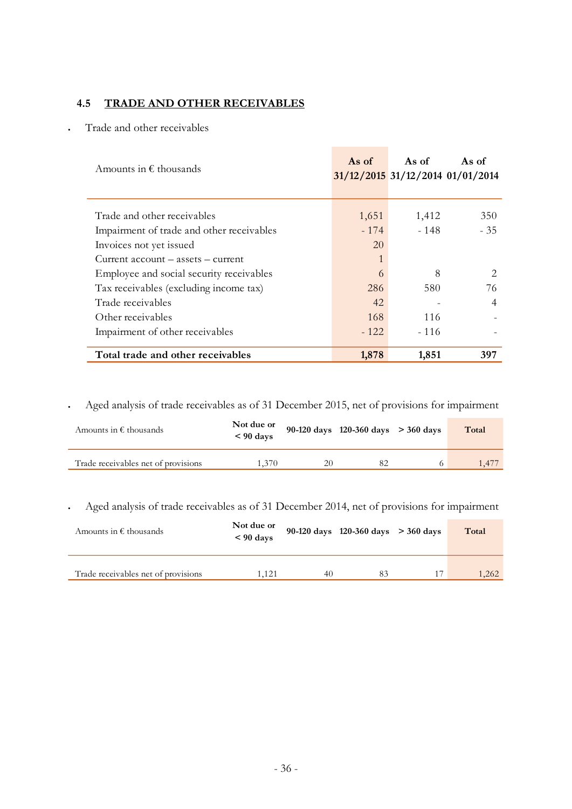# **4.5 TRADE AND OTHER RECEIVABLES**

Trade and other receivables

| Amounts in $\epsilon$ thousands           | As of  | As of<br>31/12/2015 31/12/2014 01/01/2014 | As of |
|-------------------------------------------|--------|-------------------------------------------|-------|
| Trade and other receivables               | 1,651  | 1,412                                     | 350   |
| Impairment of trade and other receivables | $-174$ | $-148$                                    | $-35$ |
| Invoices not yet issued                   | 20     |                                           |       |
| $Current account - assets - current$      | 1      |                                           |       |
| Employee and social security receivables  | 6      | 8                                         |       |
| Tax receivables (excluding income tax)    | 286    | 580                                       | 76    |
| Trade receivables                         | 42     |                                           | 4     |
| Other receivables                         | 168    | 116                                       |       |
| Impairment of other receivables           | $-122$ | $-116$                                    |       |
| Total trade and other receivables         | 1,878  | 1,851                                     | 397   |

Aged analysis of trade receivables as of 31 December 2015, net of provisions for impairment

| Amounts in $\epsilon$ thousands     | Not due or<br>$< 90 \text{ days}$ |    | 90-120 days 120-360 days $>$ 360 days | Total |
|-------------------------------------|-----------------------------------|----|---------------------------------------|-------|
| Trade receivables net of provisions | 1.370                             | 20 | 82                                    | .47   |

Aged analysis of trade receivables as of 31 December 2014, net of provisions for impairment

| Amounts in $\epsilon$ thousands     | Not due or<br>$< 90 \text{ days}$ |    | 90-120 days 120-360 days $>$ 360 days | Total |
|-------------------------------------|-----------------------------------|----|---------------------------------------|-------|
| Trade receivables net of provisions | 1.121                             | 40 | 83                                    | 1,262 |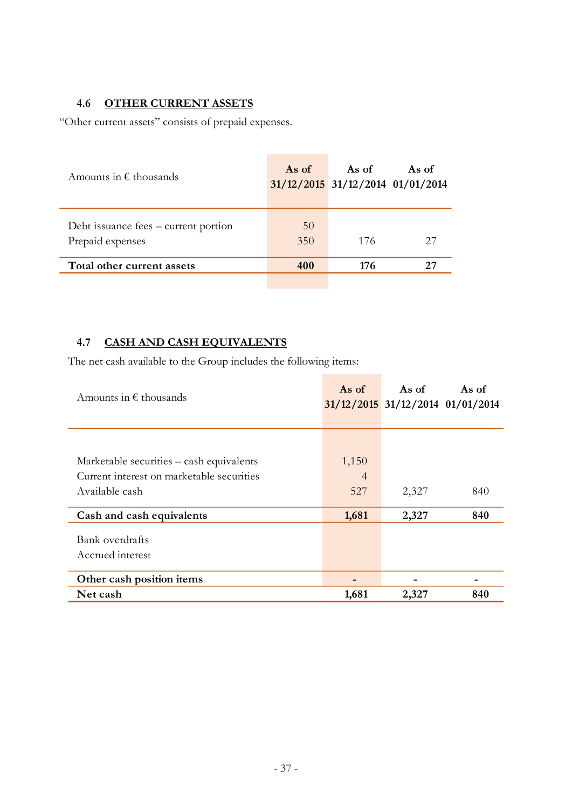# **4.6 OTHER CURRENT ASSETS**

"Other current assets" consists of prepaid expenses.

| Amounts in $\epsilon$ thousands                          | As of     | As of<br>$31/12/2015$ $31/12/2014$ $01/01/2014$ | As of |
|----------------------------------------------------------|-----------|-------------------------------------------------|-------|
| Debt issuance fees – current portion<br>Prepaid expenses | 50<br>350 | 176                                             | 27    |
| Total other current assets                               | 400       | 176                                             | 27    |
|                                                          |           |                                                 |       |

# **4.7 CASH AND CASH EQUIVALENTS**

The net cash available to the Group includes the following items:

| Amounts in $\epsilon$ thousands           | As of          | As of                            | As of |
|-------------------------------------------|----------------|----------------------------------|-------|
|                                           |                | 31/12/2015 31/12/2014 01/01/2014 |       |
|                                           |                |                                  |       |
| Marketable securities – cash equivalents  | 1,150          |                                  |       |
| Current interest on marketable securities | $\overline{4}$ |                                  |       |
| Available cash                            | 527            | 2,327                            | 840   |
| Cash and cash equivalents                 | 1,681          | 2,327                            | 840   |
| Bank overdrafts                           |                |                                  |       |
| Accrued interest                          |                |                                  |       |
| Other cash position items                 |                |                                  |       |
| Net cash                                  | 1,681          | 2,327                            | 840   |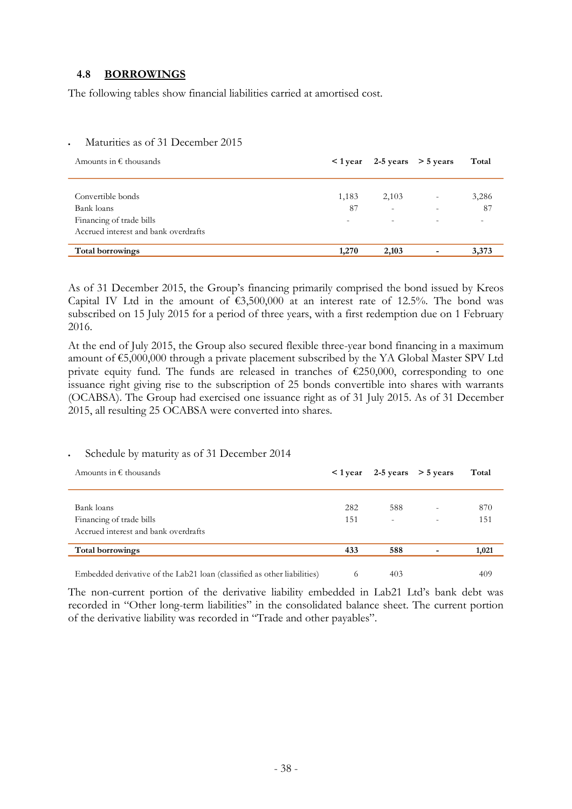#### **4.8 BORROWINGS**

The following tables show financial liabilities carried at amortised cost.

#### Maturities as of 31 December 2015

| Amounts in $\epsilon$ thousands      |       | $1$ year 2-5 years $>$ 5 years |                          | Total |
|--------------------------------------|-------|--------------------------------|--------------------------|-------|
|                                      |       |                                |                          |       |
| Convertible bonds                    | 1,183 | 2,103                          | $\overline{\phantom{a}}$ | 3,286 |
| Bank loans                           | 87    | $\overline{\phantom{a}}$       | $\overline{\phantom{a}}$ | 87    |
| Financing of trade bills             | -     | $\overline{\phantom{a}}$       | $\overline{\phantom{a}}$ |       |
| Accrued interest and bank overdrafts |       |                                |                          |       |
| Total borrowings                     | 1,270 | 2,103                          |                          | 3,373 |

As of 31 December 2015, the Group's financing primarily comprised the bond issued by Kreos Capital IV Ltd in the amount of  $63,500,000$  at an interest rate of 12.5%. The bond was subscribed on 15 July 2015 for a period of three years, with a first redemption due on 1 February 2016.

At the end of July 2015, the Group also secured flexible three-year bond financing in a maximum amount of €5,000,000 through a private placement subscribed by the YA Global Master SPV Ltd private equity fund. The funds are released in tranches of  $£250,000$ , corresponding to one issuance right giving rise to the subscription of 25 bonds convertible into shares with warrants (OCABSA). The Group had exercised one issuance right as of 31 July 2015. As of 31 December 2015, all resulting 25 OCABSA were converted into shares.

#### Schedule by maturity as of 31 December 2014

| Amounts in $\epsilon$ thousands                                         | $\leq 1$ year |                          | 2-5 years $>$ 5 years | Total |
|-------------------------------------------------------------------------|---------------|--------------------------|-----------------------|-------|
| Bank loans                                                              | 282           | 588                      |                       | 870   |
|                                                                         |               |                          | ٠                     |       |
| Financing of trade bills                                                | 151           | $\overline{\phantom{a}}$ | ۰                     | 151   |
| Accrued interest and bank overdrafts                                    |               |                          |                       |       |
| Total borrowings                                                        | 433           | 588                      |                       | 1,021 |
| Embedded derivative of the Lab21 loan (classified as other liabilities) | $\theta$      | 403                      |                       | 409   |

The non-current portion of the derivative liability embedded in Lab21 Ltd's bank debt was recorded in "Other long-term liabilities" in the consolidated balance sheet. The current portion of the derivative liability was recorded in "Trade and other payables".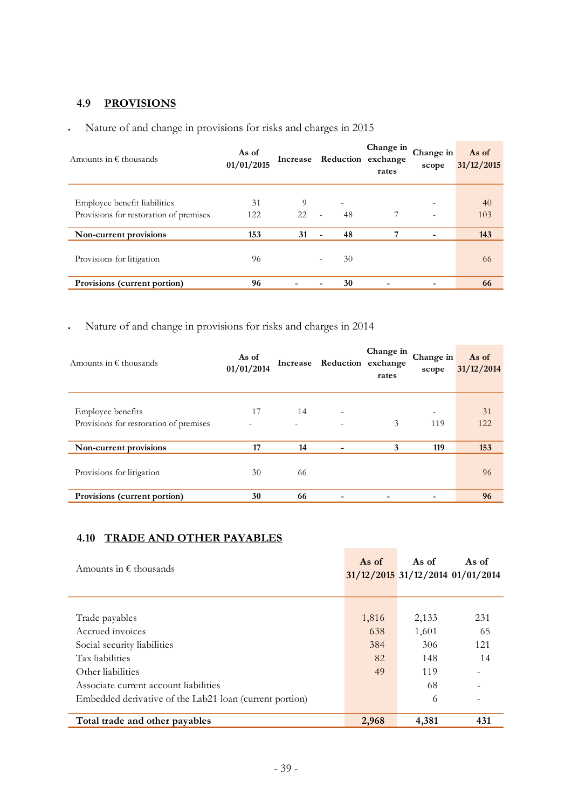# **4.9 PROVISIONS**

| Amounts in $\epsilon$ thousands        | As of<br>01/01/2015 | Increase |                                | Change in<br>Reduction exchange<br>rates | Change in<br>scope | As of<br>31/12/2015 |
|----------------------------------------|---------------------|----------|--------------------------------|------------------------------------------|--------------------|---------------------|
|                                        |                     |          |                                |                                          |                    |                     |
| Employee benefit liabilities           | 31                  | 9        | ۰                              |                                          |                    | 40                  |
| Provisions for restoration of premises | 122                 | 22       | 48<br>٠                        | 7                                        | ۰                  | 103                 |
| Non-current provisions                 | 153                 | 31       | 48<br>-                        | 7                                        |                    | 143                 |
| Provisions for litigation              | 96                  |          | 30<br>$\overline{\phantom{0}}$ |                                          |                    | 66                  |
| Provisions (current portion)           | 96                  |          | 30<br>-                        |                                          |                    | 66                  |

# Nature of and change in provisions for risks and charges in 2015

# Nature of and change in provisions for risks and charges in 2014

| Amounts in $\epsilon$ thousands        | As of<br>01/01/2014 |    | Increase Reduction exchange | Change in<br>rates | Change in<br>scope | As of<br>31/12/2014 |
|----------------------------------------|---------------------|----|-----------------------------|--------------------|--------------------|---------------------|
|                                        |                     |    |                             |                    |                    |                     |
| <b>Employee benefits</b>               | 17                  | 14 | ٠                           |                    |                    | 31                  |
| Provisions for restoration of premises | ٠                   |    | ٠                           | 3                  | 119                | 122                 |
|                                        |                     |    |                             |                    |                    |                     |
| Non-current provisions                 | 17                  | 14 |                             | 3                  | 119                | 153                 |
|                                        |                     |    |                             |                    |                    |                     |
| Provisions for litigation              | 30                  | 66 |                             |                    |                    | 96                  |
| Provisions (current portion)           | 30                  | 66 |                             |                    |                    | 96                  |

# **4.10 TRADE AND OTHER PAYABLES**

| Amounts in $\epsilon$ thousands                         | As of | As of | As of<br>$31/12/2015$ 31/12/2014 01/01/2014 |
|---------------------------------------------------------|-------|-------|---------------------------------------------|
|                                                         |       |       |                                             |
| Trade payables                                          | 1,816 | 2,133 | 231                                         |
| Accrued invoices                                        | 638   | 1,601 | 65                                          |
| Social security liabilities                             | 384   | 306   | 121                                         |
| Tax liabilities                                         | 82    | 148   | 14                                          |
| Other liabilities                                       | 49    | 119   |                                             |
| Associate current account liabilities                   |       | 68    |                                             |
| Embedded derivative of the Lab21 loan (current portion) |       | 6     |                                             |
| Total trade and other payables                          | 2,968 | 4,381 | 431                                         |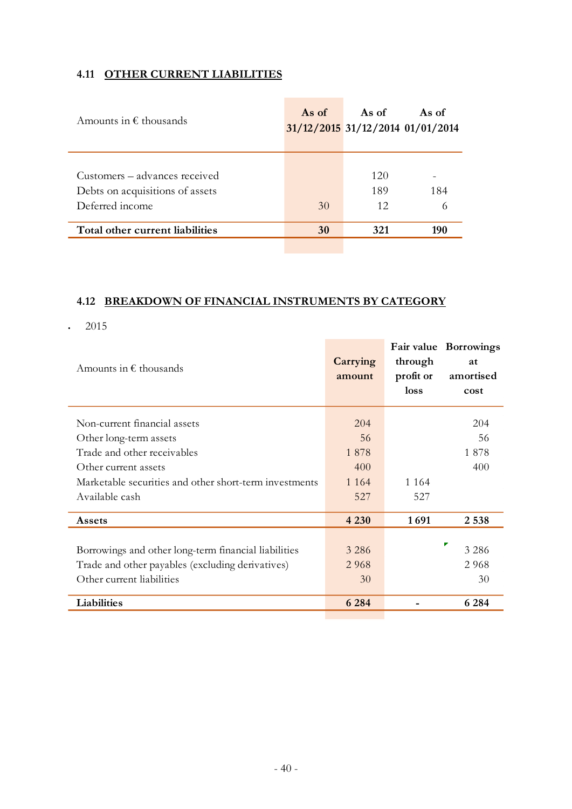# **4.11 OTHER CURRENT LIABILITIES**

| Amounts in $\epsilon$ thousands                                  | As of | As of      | As of<br>31/12/2015 31/12/2014 01/01/2014 |
|------------------------------------------------------------------|-------|------------|-------------------------------------------|
| Customers – advances received<br>Debts on acquisitions of assets |       | 120<br>189 | 184                                       |
| Deferred income                                                  | 30    | 12         |                                           |
| Total other current liabilities                                  | 30    | 321        | 190                                       |

# **4.12 BREAKDOWN OF FINANCIAL INSTRUMENTS BY CATEGORY**

2015

| Amounts in $\epsilon$ thousands                        | Carrying<br>amount | through<br>profit or<br>loss | Fair value Borrowings<br>at<br>amortised<br>cost |
|--------------------------------------------------------|--------------------|------------------------------|--------------------------------------------------|
| Non-current financial assets                           | 204                |                              | 204                                              |
| Other long-term assets                                 | 56                 |                              | 56                                               |
| Trade and other receivables                            | 1878               |                              | 1878                                             |
| Other current assets                                   | 400                |                              | 400                                              |
| Marketable securities and other short-term investments | 1 1 6 4            | 1 1 6 4                      |                                                  |
| Available cash                                         | 527                | 527                          |                                                  |
| Assets                                                 | 4 2 3 0            | 1691                         | 2 5 3 8                                          |
|                                                        |                    |                              |                                                  |
| Borrowings and other long-term financial liabilities   | 3 2 8 6            |                              | Р<br>3 2 8 6                                     |
| Trade and other payables (excluding derivatives)       | 2 9 6 8            |                              | 2 9 6 8                                          |
| Other current liabilities                              | 30                 |                              | 30                                               |
| Liabilities                                            | 6 2 8 4            |                              | 6 2 8 4                                          |
|                                                        |                    |                              |                                                  |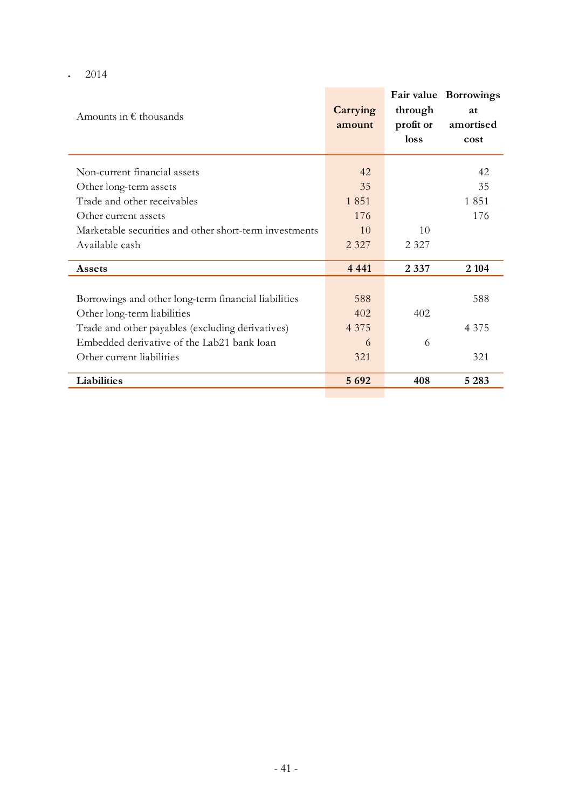$\cdot$  2014

| Amounts in $\epsilon$ thousands                                                                                                                                                                                    | Carrying<br>amount                | through<br>profit or<br>loss | Fair value Borrowings<br>at<br>amortised<br>cost |
|--------------------------------------------------------------------------------------------------------------------------------------------------------------------------------------------------------------------|-----------------------------------|------------------------------|--------------------------------------------------|
| Non-current financial assets                                                                                                                                                                                       | 42                                |                              | 42                                               |
| Other long-term assets                                                                                                                                                                                             | 35                                |                              | 35                                               |
| Trade and other receivables                                                                                                                                                                                        | 1851                              |                              | 1851                                             |
| Other current assets                                                                                                                                                                                               | 176                               |                              | 176                                              |
| Marketable securities and other short-term investments                                                                                                                                                             | 10                                | 10                           |                                                  |
| Available cash                                                                                                                                                                                                     | 2 3 2 7                           | 2 3 2 7                      |                                                  |
| Assets                                                                                                                                                                                                             | 4 4 4 1                           | 2 3 3 7                      | 2 1 0 4                                          |
| Borrowings and other long-term financial liabilities<br>Other long-term liabilities<br>Trade and other payables (excluding derivatives)<br>Embedded derivative of the Lab21 bank loan<br>Other current liabilities | 588<br>402<br>4 3 7 5<br>6<br>321 | 402<br>6                     | 588<br>4 3 7 5<br>321                            |
| Liabilities                                                                                                                                                                                                        | 5 6 9 2                           | 408                          | 5 2 8 3                                          |

**Contract Contract**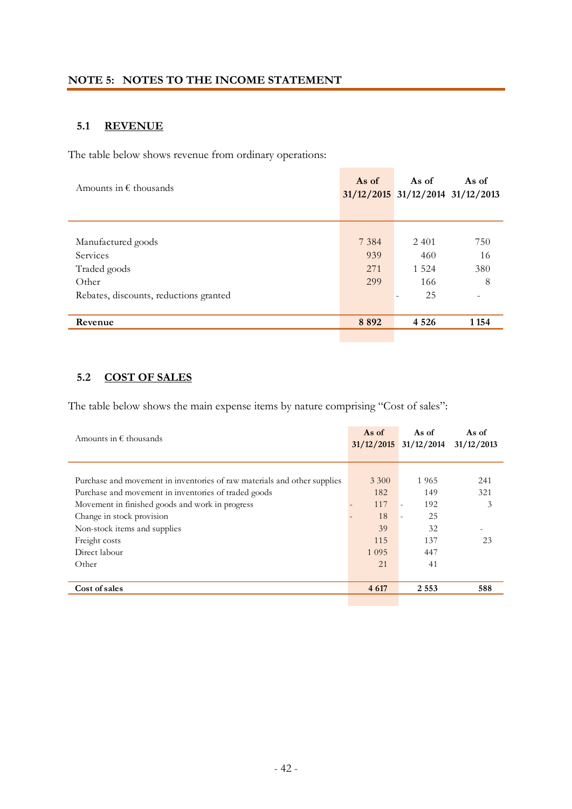## **5.1 REVENUE**

The table below shows revenue from ordinary operations:

| Amounts in $\epsilon$ thousands        | As of   | As of<br>$31/12/2015$ $31/12/2014$ $31/12/2013$ | As of   |
|----------------------------------------|---------|-------------------------------------------------|---------|
|                                        |         |                                                 |         |
|                                        |         |                                                 |         |
| Manufactured goods                     | 7 3 8 4 | 2 4 0 1                                         | 750     |
| Services                               | 939     | 460                                             | 16      |
| Traded goods                           | 271     | 1 5 2 4                                         | 380     |
| Other                                  | 299     | 166                                             | 8       |
| Rebates, discounts, reductions granted |         | 25                                              |         |
|                                        |         |                                                 |         |
| Revenue                                | 8892    | 4 5 2 6                                         | 1 1 5 4 |
|                                        |         |                                                 |         |

# **5.2 COST OF SALES**

The table below shows the main expense items by nature comprising "Cost of sales":

| Amounts in $\epsilon$ thousands                                          | As of   | As of<br>$31/12/2015$ $31/12/2014$ | As of<br>31/12/2013 |
|--------------------------------------------------------------------------|---------|------------------------------------|---------------------|
|                                                                          |         |                                    |                     |
| Purchase and movement in inventories of raw materials and other supplies | 3 3 0 0 | 1965                               | 241                 |
| Purchase and movement in inventories of traded goods                     | 182     | 149                                | 321                 |
| Movement in finished goods and work in progress                          | 117     | 192<br>$\overline{\phantom{a}}$    | 3                   |
| Change in stock provision                                                | 18      | 25<br>÷                            |                     |
| Non-stock items and supplies                                             | 39      | 32                                 |                     |
| Freight costs                                                            | 115     | 137                                | 23                  |
| Direct labour                                                            | 1 0 9 5 | 447                                |                     |
| Other                                                                    | 21      | 41                                 |                     |
|                                                                          |         |                                    |                     |
| Cost of sales                                                            | 4 6 17  | 2 5 5 3                            | 588                 |
|                                                                          |         |                                    |                     |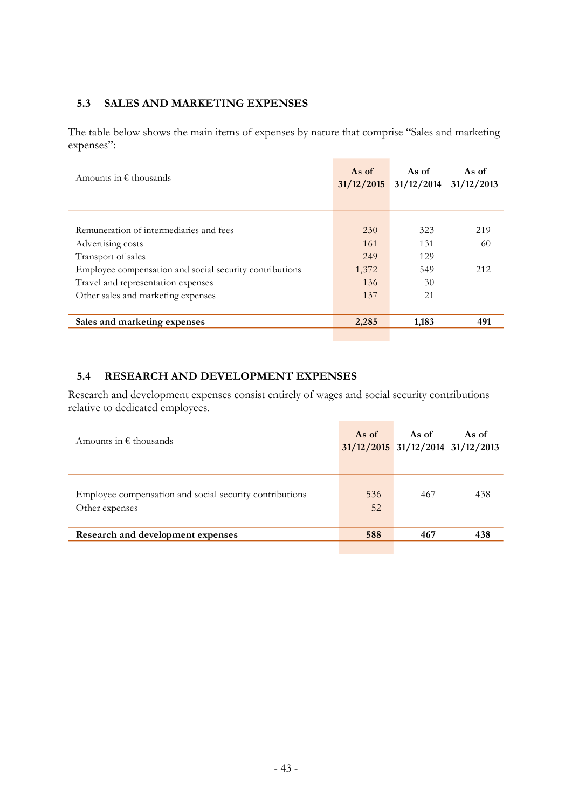#### **5.3 SALES AND MARKETING EXPENSES**

The table below shows the main items of expenses by nature that comprise "Sales and marketing expenses":

| Amounts in $\epsilon$ thousands                         | As of<br>31/12/2015 | As of<br>31/12/2014 | As of<br>31/12/2013 |
|---------------------------------------------------------|---------------------|---------------------|---------------------|
|                                                         |                     |                     |                     |
| Remuneration of intermediaries and fees                 | 230                 | 323                 | 219                 |
| Advertising costs                                       | 161                 | 131                 | 60                  |
| Transport of sales                                      | 249                 | 129                 |                     |
| Employee compensation and social security contributions | 1,372               | 549                 | 212                 |
| Travel and representation expenses                      | 136                 | 30                  |                     |
| Other sales and marketing expenses                      | 137                 | 21                  |                     |
|                                                         |                     |                     |                     |
| Sales and marketing expenses                            | 2,285               | 1,183               | 491                 |
|                                                         |                     |                     |                     |

## **5.4 RESEARCH AND DEVELOPMENT EXPENSES**

Research and development expenses consist entirely of wages and social security contributions relative to dedicated employees.

| Amounts in $\epsilon$ thousands                                           | As of     | As of<br>$31/12/2015$ $31/12/2014$ $31/12/2013$ | As of |
|---------------------------------------------------------------------------|-----------|-------------------------------------------------|-------|
| Employee compensation and social security contributions<br>Other expenses | 536<br>52 | 467                                             | 438   |
| Research and development expenses                                         | 588       | 467                                             | 438   |
|                                                                           |           |                                                 |       |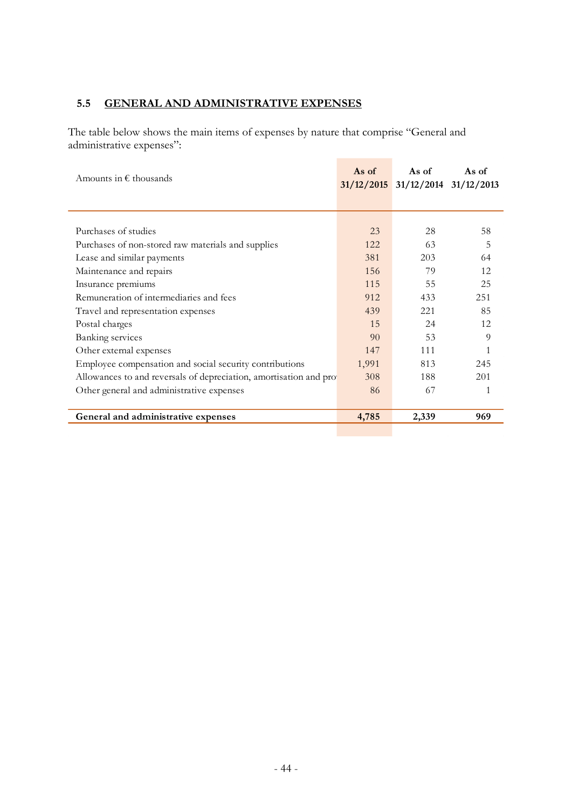# **5.5 GENERAL AND ADMINISTRATIVE EXPENSES**

The table below shows the main items of expenses by nature that comprise "General and administrative expenses":

| Amounts in $\epsilon$ thousands                                    | As of | As of<br>$31/12/2015$ $31/12/2014$ $31/12/2013$ | As of |
|--------------------------------------------------------------------|-------|-------------------------------------------------|-------|
|                                                                    |       |                                                 |       |
|                                                                    |       |                                                 |       |
| Purchases of studies                                               | 23    | 28                                              | 58    |
| Purchases of non-stored raw materials and supplies                 | 122   | 63                                              | 5     |
| Lease and similar payments                                         | 381   | 203                                             | 64    |
| Maintenance and repairs                                            | 156   | 79                                              | 12    |
| Insurance premiums                                                 | 115   | 55                                              | 25    |
| Remuneration of intermediaries and fees                            | 912   | 433                                             | 251   |
| Travel and representation expenses                                 | 439   | 2.2.1                                           | 85    |
| Postal charges                                                     | 15    | 24                                              | 12    |
| <b>Banking services</b>                                            | 90    | 53                                              | 9     |
| Other external expenses                                            | 147   | 111                                             |       |
| Employee compensation and social security contributions            | 1,991 | 813                                             | 245   |
| Allowances to and reversals of depreciation, amortisation and pro- | 308   | 188                                             | 201   |
| Other general and administrative expenses                          | 86    | 67                                              |       |
|                                                                    |       |                                                 |       |
| General and administrative expenses                                | 4,785 | 2,339                                           | 969   |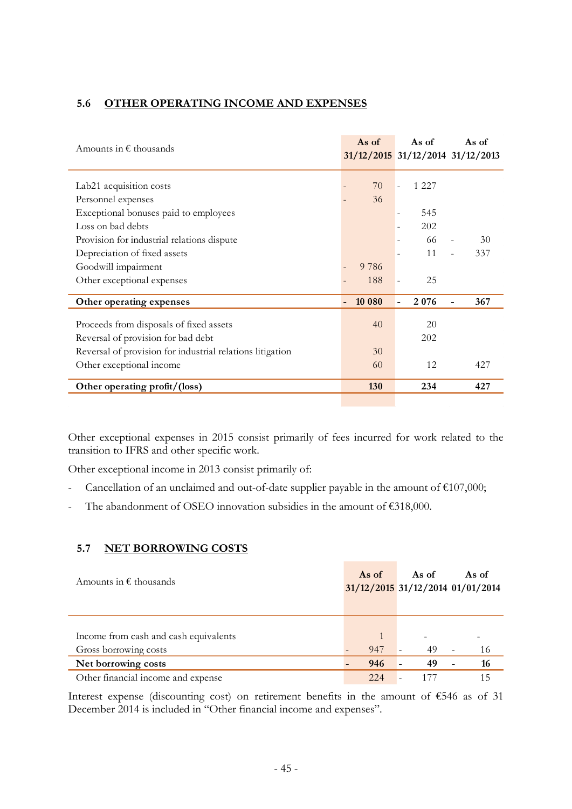## **5.6 OTHER OPERATING INCOME AND EXPENSES**

| Amounts in $\epsilon$ thousands                           | As of   | As of                            | As of<br>$31/12/2015$ $31/12/2014$ $31/12/2013$ |
|-----------------------------------------------------------|---------|----------------------------------|-------------------------------------------------|
| Lab <sub>21</sub> acquisition costs                       | 70      | 1 2 2 7                          |                                                 |
| Personnel expenses                                        | 36      |                                  |                                                 |
| Exceptional bonuses paid to employees                     |         | 545<br>$\overline{\phantom{0}}$  |                                                 |
| Loss on bad debts                                         |         | 202                              |                                                 |
| Provision for industrial relations dispute                |         | 66                               | 30                                              |
| Depreciation of fixed assets                              |         | 11                               | 337                                             |
| Goodwill impairment                                       | 9 7 8 6 |                                  |                                                 |
| Other exceptional expenses                                | 188     | 25<br>$\overline{\phantom{a}}$   |                                                 |
| Other operating expenses                                  | 10 080  | 2076<br>$\overline{\phantom{a}}$ | 367                                             |
| Proceeds from disposals of fixed assets                   | 40      | 20                               |                                                 |
| Reversal of provision for bad debt                        |         | 202                              |                                                 |
| Reversal of provision for industrial relations litigation | 30      |                                  |                                                 |
| Other exceptional income                                  | 60      | 12                               | 427                                             |
| Other operating profit/(loss)                             | 130     | 234                              | 427                                             |

Other exceptional expenses in 2015 consist primarily of fees incurred for work related to the transition to IFRS and other specific work.

Other exceptional income in 2013 consist primarily of:

- Cancellation of an unclaimed and out-of-date supplier payable in the amount of  $€107,000;$
- The abandonment of OSEO innovation subsidies in the amount of  $€318,000$ .

## **5.7 NET BORROWING COSTS**

| Amounts in $\epsilon$ thousands                                | As of | As of | As of<br>31/12/2015 31/12/2014 01/01/2014 |
|----------------------------------------------------------------|-------|-------|-------------------------------------------|
| Income from cash and cash equivalents<br>Gross borrowing costs | 947   | 49    | 16                                        |
| Net borrowing costs                                            | 946   | 49    | 16<br>$\blacksquare$                      |
| Other financial income and expense                             | 224   |       | 15                                        |

Interest expense (discounting cost) on retirement benefits in the amount of €546 as of 31 December 2014 is included in "Other financial income and expenses".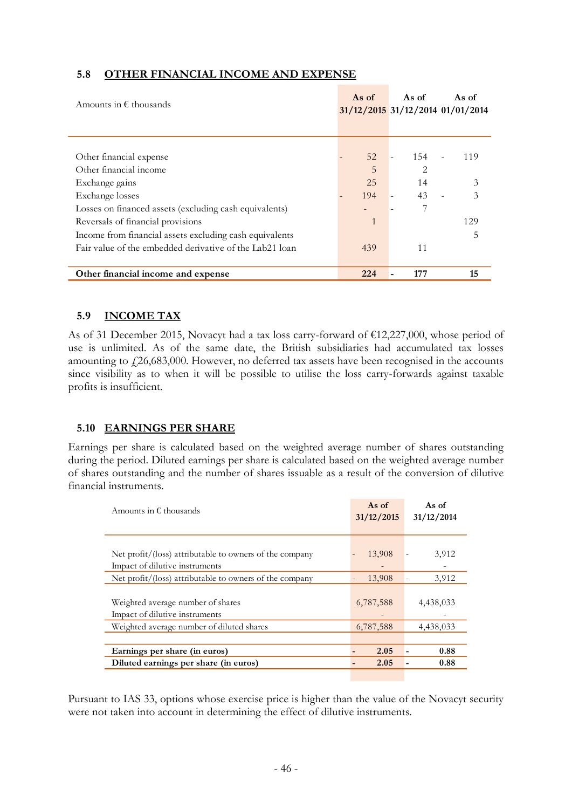## **5.8 OTHER FINANCIAL INCOME AND EXPENSE**

| Amounts in $\epsilon$ thousands                         | As of | As of          | As of<br>31/12/2015 31/12/2014 01/01/2014 |
|---------------------------------------------------------|-------|----------------|-------------------------------------------|
|                                                         |       |                |                                           |
| Other financial expense                                 | 52    | 154            | 119                                       |
| Other financial income                                  | 5     | $\overline{2}$ |                                           |
| Exchange gains                                          | 25    | 14             | 3                                         |
| Exchange losses                                         | 194   | 43             | 3                                         |
| Losses on financed assets (excluding cash equivalents)  |       | 7              |                                           |
| Reversals of financial provisions                       | 1     |                | 129                                       |
| Income from financial assets excluding cash equivalents |       |                |                                           |
| Fair value of the embedded derivative of the Lab21 loan | 439   | 11             |                                           |
|                                                         |       |                |                                           |
| Other financial income and expense                      | 224   | 177            | 15                                        |

#### **5.9 INCOME TAX**

As of 31 December 2015, Novacyt had a tax loss carry-forward of €12,227,000, whose period of use is unlimited. As of the same date, the British subsidiaries had accumulated tax losses amounting to  $f(26,683,000)$ . However, no deferred tax assets have been recognised in the accounts since visibility as to when it will be possible to utilise the loss carry-forwards against taxable profits is insufficient.

#### **5.10 EARNINGS PER SHARE**

Earnings per share is calculated based on the weighted average number of shares outstanding during the period. Diluted earnings per share is calculated based on the weighted average number of shares outstanding and the number of shares issuable as a result of the conversion of dilutive financial instruments.

| Amounts in $\epsilon$ thousands                         | As of<br>31/12/2015 | As of<br>31/12/2014 |
|---------------------------------------------------------|---------------------|---------------------|
|                                                         |                     |                     |
| Net profit/(loss) attributable to owners of the company | 13,908              | 3,912               |
| Impact of dilutive instruments                          |                     |                     |
| Net profit/(loss) attributable to owners of the company | 13,908              | 3,912               |
|                                                         |                     |                     |
| Weighted average number of shares                       | 6,787,588           | 4,438,033           |
| Impact of dilutive instruments                          |                     |                     |
| Weighted average number of diluted shares               | 6,787,588           | 4,438,033           |
|                                                         |                     |                     |
| Earnings per share (in euros)                           | 2.05                | 0.88                |
| Diluted earnings per share (in euros)                   | 2.05                | 0.88                |
|                                                         |                     |                     |

Pursuant to IAS 33, options whose exercise price is higher than the value of the Novacyt security were not taken into account in determining the effect of dilutive instruments.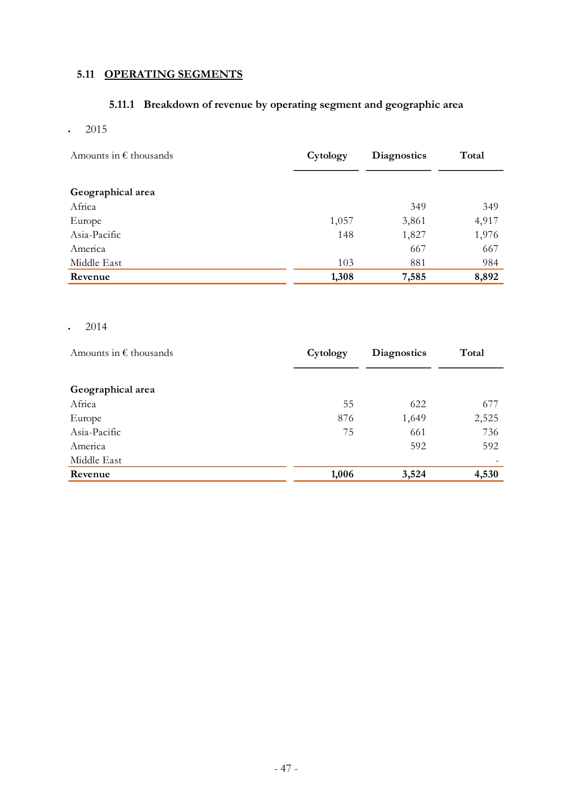# **5.11 OPERATING SEGMENTS**

# **5.11.1 Breakdown of revenue by operating segment and geographic area**

 $\cdot$  2015

| Amounts in $\epsilon$ thousands | Cytology | Diagnostics | Total |
|---------------------------------|----------|-------------|-------|
|                                 |          |             |       |
| Geographical area               |          |             |       |
| Africa                          |          | 349         | 349   |
| Europe                          | 1,057    | 3,861       | 4,917 |
| Asia-Pacific                    | 148      | 1,827       | 1,976 |
| America                         |          | 667         | 667   |
| Middle East                     | 103      | 881         | 984   |
| Revenue                         | 1,308    | 7,585       | 8,892 |

 $\cdot$  2014

| Amounts in $\epsilon$ thousands | Cytology | <b>Diagnostics</b> | Total |
|---------------------------------|----------|--------------------|-------|
|                                 |          |                    |       |
| Geographical area               |          |                    |       |
| Africa                          | 55       | 622                | 677   |
| Europe                          | 876      | 1,649              | 2,525 |
| Asia-Pacific                    | 75       | 661                | 736   |
| America                         |          | 592                | 592   |
| Middle East                     |          |                    |       |
| Revenue                         | 1,006    | 3,524              | 4,530 |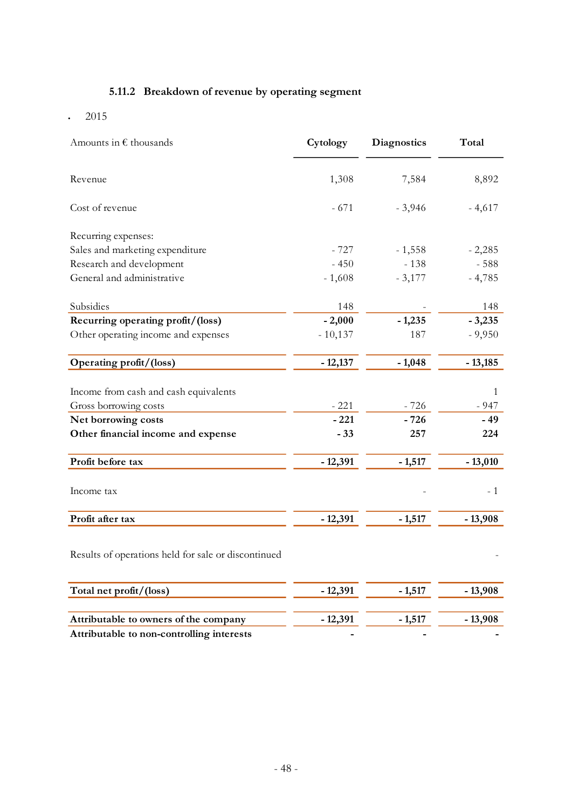# **5.11.2 Breakdown of revenue by operating segment**

 $\cdot$  2015

| Amounts in $\epsilon$ thousands                     | Cytology  | <b>Diagnostics</b> | Total     |
|-----------------------------------------------------|-----------|--------------------|-----------|
| Revenue                                             | 1,308     | 7,584              | 8,892     |
| Cost of revenue                                     | $-671$    | $-3,946$           | $-4,617$  |
| Recurring expenses:                                 |           |                    |           |
| Sales and marketing expenditure                     | $-727$    | $-1,558$           | $-2,285$  |
| Research and development                            | $-450$    | $-138$             | $-588$    |
| General and administrative                          | $-1,608$  | $-3,177$           | $-4,785$  |
| Subsidies                                           | 148       |                    | 148       |
| Recurring operating profit/(loss)                   | $-2,000$  | $-1,235$           | $-3,235$  |
| Other operating income and expenses                 | $-10,137$ | 187                | $-9,950$  |
| Operating profit/(loss)                             | $-12,137$ | $-1,048$           | $-13,185$ |
| Income from cash and cash equivalents               |           |                    | 1         |
| Gross borrowing costs                               | $-221$    | $-726$             | $-947$    |
| Net borrowing costs                                 | $-221$    | $-726$             | $-49$     |
| Other financial income and expense                  | $-33$     | 257                | 224       |
| Profit before tax                                   | $-12,391$ | $-1,517$           | $-13,010$ |
| Income tax                                          |           |                    | $-1$      |
| Profit after tax                                    | $-12,391$ | $-1,517$           | $-13,908$ |
| Results of operations held for sale or discontinued |           |                    |           |
| Total net profit/(loss)                             | $-12,391$ | $-1,517$           | $-13,908$ |
| Attributable to owners of the company               | $-12,391$ | $-1,517$           | $-13,908$ |
| Attributable to non-controlling interests           |           |                    |           |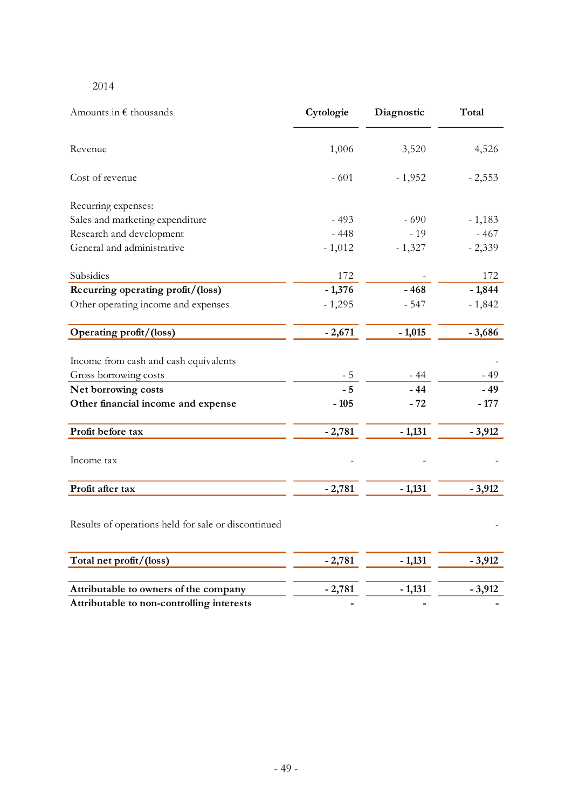#### 2014

| Amounts in $\epsilon$ thousands                     | Cytologie | Diagnostic | Total    |
|-----------------------------------------------------|-----------|------------|----------|
| Revenue                                             | 1,006     | 3,520      | 4,526    |
| Cost of revenue                                     | $-601$    | $-1,952$   | $-2,553$ |
| Recurring expenses:                                 |           |            |          |
| Sales and marketing expenditure                     | $-493$    | $-690$     | $-1,183$ |
| Research and development                            | $-448$    | $-19$      | $-467$   |
| General and administrative                          | $-1,012$  | $-1,327$   | $-2,339$ |
| Subsidies                                           | 172       |            | 172      |
| Recurring operating profit/(loss)                   | $-1,376$  | $-468$     | $-1,844$ |
| Other operating income and expenses                 | $-1,295$  | $-547$     | $-1,842$ |
| Operating profit/(loss)                             | $-2,671$  | $-1,015$   | $-3,686$ |
| Income from cash and cash equivalents               |           |            |          |
| Gross borrowing costs                               | $-5$      | $-44$      | $-49$    |
| Net borrowing costs                                 | $-5$      | $-44$      | $-49$    |
| Other financial income and expense                  | $-105$    | $-72$      | $-177$   |
| Profit before tax                                   | $-2,781$  | $-1,131$   | $-3,912$ |
| Income tax                                          |           |            |          |
| Profit after tax                                    | $-2,781$  | $-1,131$   | $-3,912$ |
| Results of operations held for sale or discontinued |           |            |          |
| Total net profit/(loss)                             | $-2,781$  | $-1,131$   | $-3,912$ |
| Attributable to owners of the company               | $-2,781$  | $-1,131$   | $-3,912$ |
| Attributable to non-controlling interests           |           |            |          |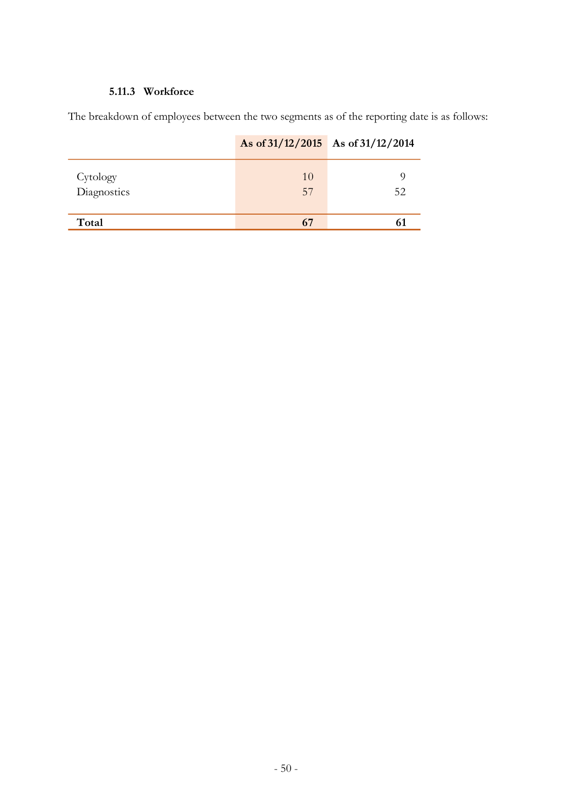# **5.11.3 Workforce**

The breakdown of employees between the two segments as of the reporting date is as follows:

|                         | As of $31/12/2015$ As of $31/12/2014$ |         |
|-------------------------|---------------------------------------|---------|
| Cytology<br>Diagnostics | 10<br>57                              | O<br>52 |
| Total                   | 67                                    | 61      |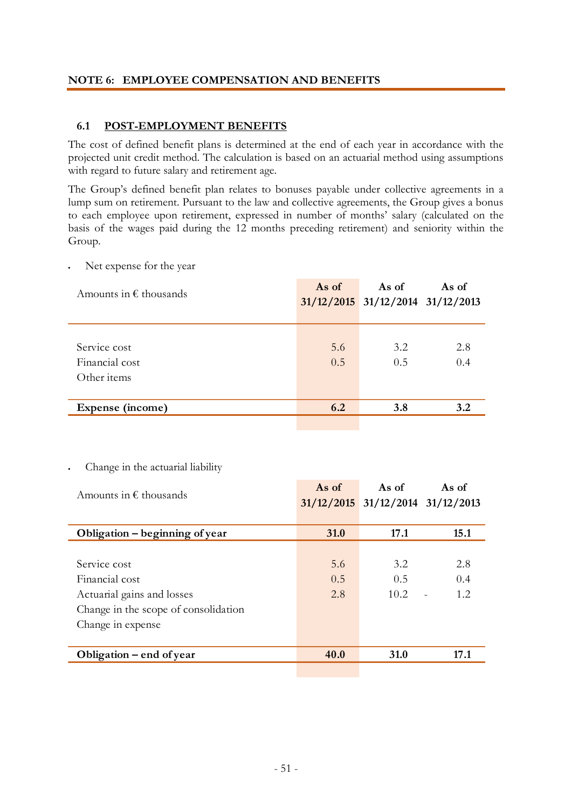#### **NOTE 6: EMPLOYEE COMPENSATION AND BENEFITS**

## **6.1 POST-EMPLOYMENT BENEFITS**

The cost of defined benefit plans is determined at the end of each year in accordance with the projected unit credit method. The calculation is based on an actuarial method using assumptions with regard to future salary and retirement age.

The Group's defined benefit plan relates to bonuses payable under collective agreements in a lump sum on retirement. Pursuant to the law and collective agreements, the Group gives a bonus to each employee upon retirement, expressed in number of months' salary (calculated on the basis of the wages paid during the 12 months preceding retirement) and seniority within the Group.

Net expense for the year

| Amounts in $\epsilon$ thousands               | As of      | As of<br>$31/12/2015$ $31/12/2014$ $31/12/2013$ | As of      |
|-----------------------------------------------|------------|-------------------------------------------------|------------|
| Service cost<br>Financial cost<br>Other items | 5.6<br>0.5 | 3.2<br>0.5                                      | 2.8<br>0.4 |
| Expense (income)                              | 6.2        | <b>3.8</b>                                      | 3.2        |

Change in the actuarial liability

| Amounts in $\epsilon$ thousands      | As of       | As of<br>$31/12/2015$ $31/12/2014$ $31/12/2013$ | As of |
|--------------------------------------|-------------|-------------------------------------------------|-------|
|                                      |             |                                                 |       |
| Obligation – beginning of year       | <b>31.0</b> | 17.1                                            | 15.1  |
|                                      |             |                                                 |       |
| Service cost                         | 5.6         | 3.2                                             | 2.8   |
| Financial cost                       | 0.5         | 0.5                                             | 0.4   |
| Actuarial gains and losses           | 2.8         | 10.2                                            | 1.2.  |
| Change in the scope of consolidation |             |                                                 |       |
| Change in expense                    |             |                                                 |       |
|                                      |             |                                                 |       |
| Obligation – end of year             | 40.0        | 31.0                                            | 17.1  |
|                                      |             |                                                 |       |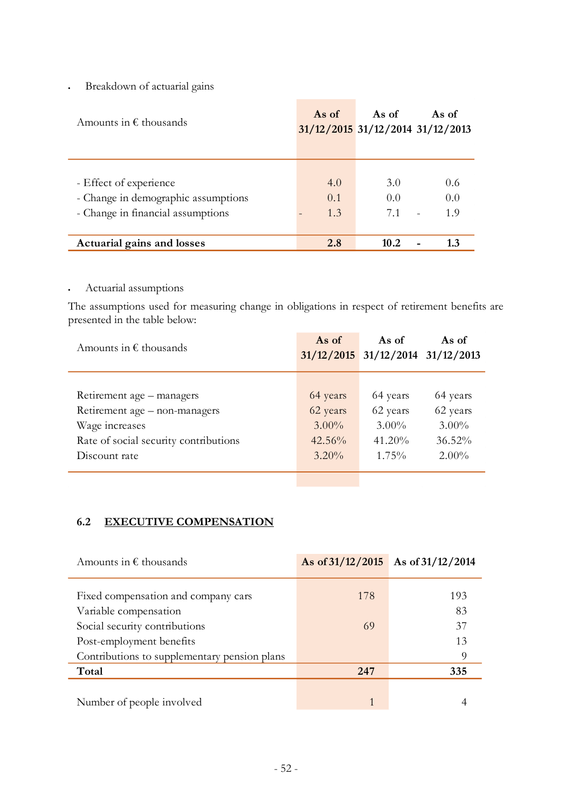Breakdown of actuarial gains

| Amounts in $\epsilon$ thousands     | As of | As of<br>$31/12/2015$ 31/12/2014 31/12/2013 | As of |
|-------------------------------------|-------|---------------------------------------------|-------|
|                                     |       |                                             |       |
|                                     |       |                                             |       |
| - Effect of experience              | 4.0   | 3.O                                         | 0.6   |
| - Change in demographic assumptions | 0.1   | 0.0                                         | 0.0   |
| - Change in financial assumptions   | 1.3   | 7.1                                         | 19    |
|                                     |       |                                             |       |
| Actuarial gains and losses          | 2.8   | 10.2                                        | 13    |

Actuarial assumptions

The assumptions used for measuring change in obligations in respect of retirement benefits are presented in the table below:

| Amounts in $\epsilon$ thousands       | As of     | As of<br>$31/12/2015$ $31/12/2014$ $31/12/2013$ | As of     |
|---------------------------------------|-----------|-------------------------------------------------|-----------|
|                                       |           |                                                 |           |
| Retirement age – managers             | 64 years  | 64 years                                        | 64 years  |
| Retirement age – non-managers         | 62 years  | 62 years                                        | 62 years  |
| Wage increases                        | $3.00\%$  | $3.00\%$                                        | $3.00\%$  |
| Rate of social security contributions | $42.56\%$ | $41.20\%$                                       | $36.52\%$ |
| Discount rate                         | $3.20\%$  | $1.75\%$                                        | $2.00\%$  |
|                                       |           |                                                 |           |

## **6.2 EXECUTIVE COMPENSATION**

| Amounts in $\epsilon$ thousands                              |     | As of $31/12/2015$ As of $31/12/2014$ |
|--------------------------------------------------------------|-----|---------------------------------------|
|                                                              | 178 | 193                                   |
| Fixed compensation and company cars<br>Variable compensation |     | 83                                    |
| Social security contributions                                | 69  | 37                                    |
| Post-employment benefits                                     |     | 13                                    |
| Contributions to supplementary pension plans                 |     | 9                                     |
| Total                                                        | 247 | 335                                   |
|                                                              |     |                                       |
| Number of people involved                                    |     |                                       |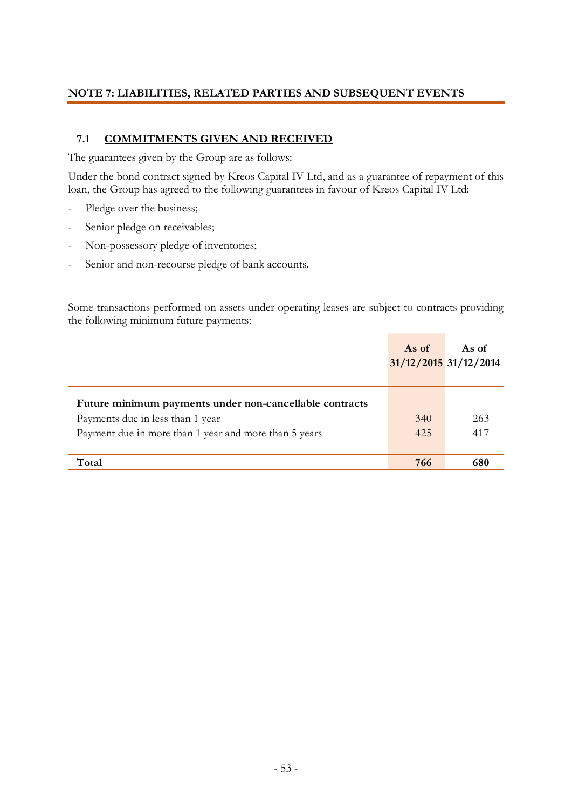## **NOTE 7: LIABILITIES, RELATED PARTIES AND SUBSEQUENT EVENTS**

## **7.1 COMMITMENTS GIVEN AND RECEIVED**

The guarantees given by the Group are as follows:

Under the bond contract signed by Kreos Capital IV Ltd, and as a guarantee of repayment of this loan, the Group has agreed to the following guarantees in favour of Kreos Capital IV Ltd:

- Pledge over the business;
- Senior pledge on receivables;
- Non-possessory pledge of inventories;
- Senior and non-recourse pledge of bank accounts.

Some transactions performed on assets under operating leases are subject to contracts providing the following minimum future payments:

|                                                                                                                                                      | As of<br>31/12/2015 31/12/2014 | As of      |
|------------------------------------------------------------------------------------------------------------------------------------------------------|--------------------------------|------------|
| Future minimum payments under non-cancellable contracts<br>Payments due in less than 1 year<br>Payment due in more than 1 year and more than 5 years | 340<br>425                     | 263<br>417 |
| Total                                                                                                                                                | 766                            | 680        |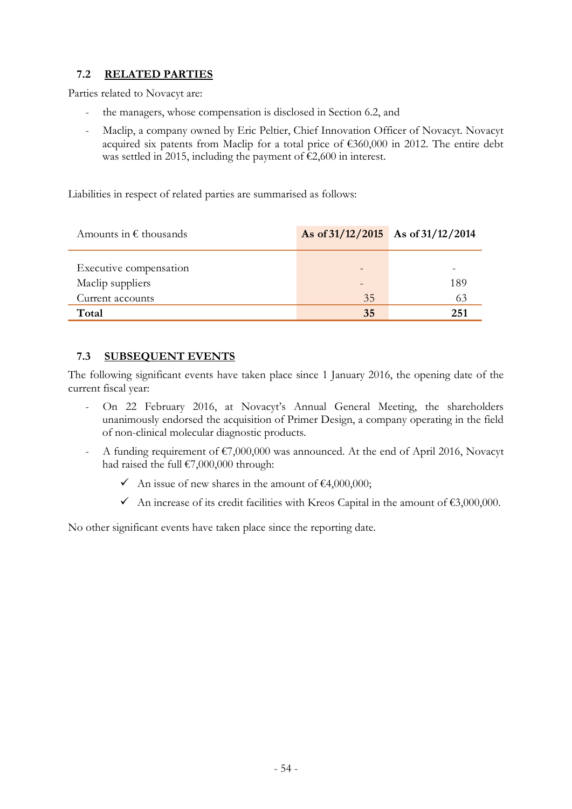## **7.2 RELATED PARTIES**

Parties related to Novacyt are:

- the managers, whose compensation is disclosed in Section 6.2, and
- Maclip, a company owned by Eric Peltier, Chief Innovation Officer of Novacyt. Novacyt acquired six patents from Maclip for a total price of  $\epsilon$ 360,000 in 2012. The entire debt was settled in 2015, including the payment of €2,600 in interest.

Liabilities in respect of related parties are summarised as follows:

| Amounts in $\epsilon$ thousands | As of $31/12/2015$ As of $31/12/2014$ |     |
|---------------------------------|---------------------------------------|-----|
|                                 |                                       |     |
| Executive compensation          |                                       |     |
| Maclip suppliers                |                                       | 189 |
| Current accounts                | 35                                    | 63  |
| Total                           | 35                                    | 251 |

## **7.3 SUBSEQUENT EVENTS**

The following significant events have taken place since 1 January 2016, the opening date of the current fiscal year:

- On 22 February 2016, at Novacyt's Annual General Meeting, the shareholders unanimously endorsed the acquisition of Primer Design, a company operating in the field of non-clinical molecular diagnostic products.
- A funding requirement of  $\epsilon$ 7,000,000 was announced. At the end of April 2016, Novacyt had raised the full  $£7,000,000$  through:
	- An issue of new shares in the amount of  $\epsilon$ 4,000,000;
	- An increase of its credit facilities with Kreos Capital in the amount of  $\epsilon$ 3,000,000.

No other significant events have taken place since the reporting date.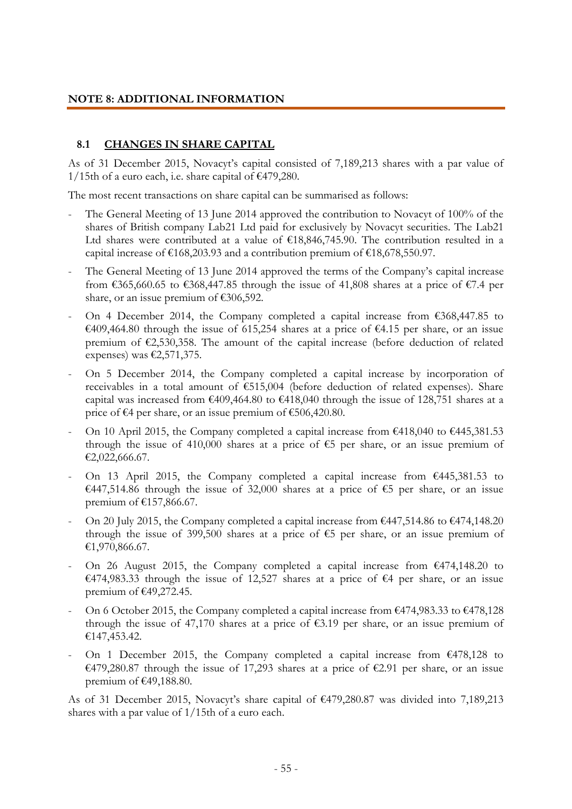#### **NOTE 8: ADDITIONAL INFORMATION**

#### **8.1 CHANGES IN SHARE CAPITAL**

As of 31 December 2015, Novacyt's capital consisted of 7,189,213 shares with a par value of 1/15th of a euro each, i.e. share capital of  $\text{\textsterling}479,280$ .

The most recent transactions on share capital can be summarised as follows:

- The General Meeting of 13 June 2014 approved the contribution to Novacyt of 100% of the shares of British company Lab21 Ltd paid for exclusively by Novacyt securities. The Lab21 Ltd shares were contributed at a value of  $£18,846,745.90$ . The contribution resulted in a capital increase of  $\text{\textsterling}168,203.93$  and a contribution premium of  $\text{\textsterling}18,678,550.97$ .
- The General Meeting of 13 June 2014 approved the terms of the Company's capital increase from  $\text{\textsterling}365,660.65$  to  $\text{\textsterling}368,447.85$  through the issue of 41,808 shares at a price of  $\text{\textsterling}7.4$  per share, or an issue premium of  $£306,592$ .
- On 4 December 2014, the Company completed a capital increase from  $\epsilon$ 368,447.85 to €409,464.80 through the issue of 615,254 shares at a price of €4.15 per share, or an issue premium of €2,530,358. The amount of the capital increase (before deduction of related expenses) was  $\epsilon$ 2,571,375.
- On 5 December 2014, the Company completed a capital increase by incorporation of receivables in a total amount of €515,004 (before deduction of related expenses). Share capital was increased from  $\epsilon$ 409,464.80 to  $\epsilon$ 418,040 through the issue of 128,751 shares at a price of €4 per share, or an issue premium of €506,420.80.
- On 10 April 2015, the Company completed a capital increase from  $\epsilon$ 418,040 to  $\epsilon$ 445,381.53 through the issue of 410,000 shares at a price of  $\epsilon$ 5 per share, or an issue premium of €2,022,666.67.
- On 13 April 2015, the Company completed a capital increase from  $\epsilon$ 445,381.53 to €447,514.86 through the issue of 32,000 shares at a price of €5 per share, or an issue premium of €157,866.67.
- On 20 July 2015, the Company completed a capital increase from  $\epsilon$ 447,514.86 to  $\epsilon$ 474,148.20 through the issue of 399,500 shares at a price of  $\epsilon$ 5 per share, or an issue premium of €1,970,866.67.
- On 26 August 2015, the Company completed a capital increase from  $\epsilon$ 474,148.20 to €474,983.33 through the issue of 12,527 shares at a price of €4 per share, or an issue premium of €49,272.45.
- On 6 October 2015, the Company completed a capital increase from  $\epsilon$ 474,983.33 to  $\epsilon$ 478,128 through the issue of 47,170 shares at a price of  $\epsilon$ 3.19 per share, or an issue premium of €147,453.42.
- On 1 December 2015, the Company completed a capital increase from  $\epsilon$ 478,128 to €479,280.87 through the issue of 17,293 shares at a price of €2.91 per share, or an issue premium of €49,188.80.

As of 31 December 2015, Novacyt's share capital of €479,280.87 was divided into 7,189,213 shares with a par value of 1/15th of a euro each.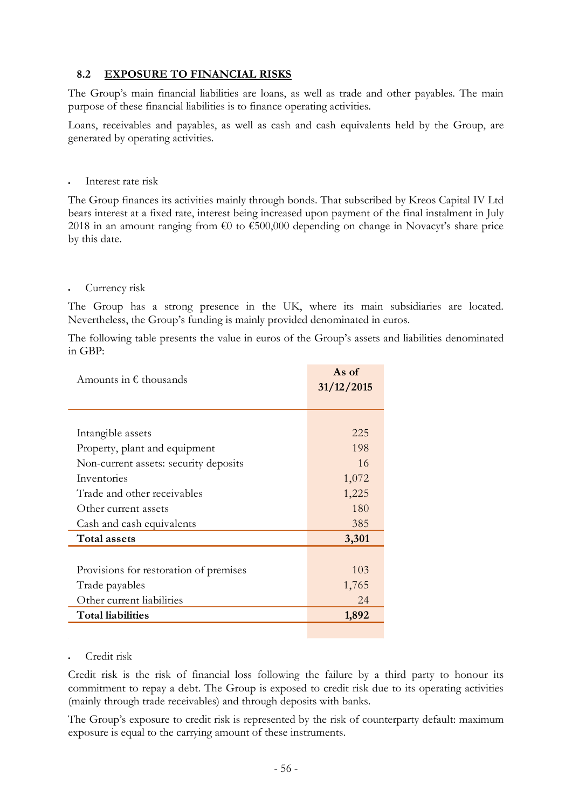## **8.2 EXPOSURE TO FINANCIAL RISKS**

The Group's main financial liabilities are loans, as well as trade and other payables. The main purpose of these financial liabilities is to finance operating activities.

Loans, receivables and payables, as well as cash and cash equivalents held by the Group, are generated by operating activities.

Interest rate risk

The Group finances its activities mainly through bonds. That subscribed by Kreos Capital IV Ltd bears interest at a fixed rate, interest being increased upon payment of the final instalment in July 2018 in an amount ranging from  $\epsilon$ 0 to  $\epsilon$ 500,000 depending on change in Novacyt's share price by this date.

#### Currency risk

The Group has a strong presence in the UK, where its main subsidiaries are located. Nevertheless, the Group's funding is mainly provided denominated in euros.

The following table presents the value in euros of the Group's assets and liabilities denominated in GBP:

| Amounts in $\epsilon$ thousands        | As of<br>31/12/2015 |
|----------------------------------------|---------------------|
|                                        |                     |
| Intangible assets                      | 225                 |
| Property, plant and equipment          | 198                 |
| Non-current assets: security deposits  | 16                  |
| Inventories                            | 1,072               |
| Trade and other receivables            | 1,225               |
| Other current assets                   | 180                 |
| Cash and cash equivalents              | 385                 |
| <b>Total assets</b>                    | 3,301               |
|                                        |                     |
| Provisions for restoration of premises | 103                 |
| Trade payables                         | 1,765               |
| Other current liabilities              | 24                  |
| <b>Total liabilities</b>               | 1,892               |
|                                        |                     |

#### Credit risk

Credit risk is the risk of financial loss following the failure by a third party to honour its commitment to repay a debt. The Group is exposed to credit risk due to its operating activities (mainly through trade receivables) and through deposits with banks.

The Group's exposure to credit risk is represented by the risk of counterparty default: maximum exposure is equal to the carrying amount of these instruments.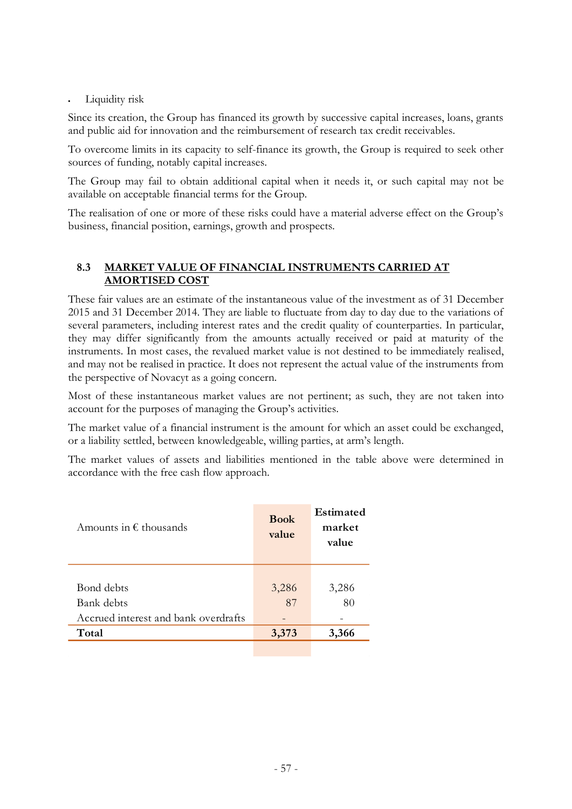Liquidity risk

Since its creation, the Group has financed its growth by successive capital increases, loans, grants and public aid for innovation and the reimbursement of research tax credit receivables.

To overcome limits in its capacity to self-finance its growth, the Group is required to seek other sources of funding, notably capital increases.

The Group may fail to obtain additional capital when it needs it, or such capital may not be available on acceptable financial terms for the Group.

The realisation of one or more of these risks could have a material adverse effect on the Group's business, financial position, earnings, growth and prospects.

#### **8.3 MARKET VALUE OF FINANCIAL INSTRUMENTS CARRIED AT AMORTISED COST**

These fair values are an estimate of the instantaneous value of the investment as of 31 December 2015 and 31 December 2014. They are liable to fluctuate from day to day due to the variations of several parameters, including interest rates and the credit quality of counterparties. In particular, they may differ significantly from the amounts actually received or paid at maturity of the instruments. In most cases, the revalued market value is not destined to be immediately realised, and may not be realised in practice. It does not represent the actual value of the instruments from the perspective of Novacyt as a going concern.

Most of these instantaneous market values are not pertinent; as such, they are not taken into account for the purposes of managing the Group's activities.

The market value of a financial instrument is the amount for which an asset could be exchanged, or a liability settled, between knowledgeable, willing parties, at arm's length.

The market values of assets and liabilities mentioned in the table above were determined in accordance with the free cash flow approach.

| Amounts in $\epsilon$ thousands      | <b>Book</b><br>value | <b>Estimated</b><br>market<br>value |  |
|--------------------------------------|----------------------|-------------------------------------|--|
|                                      |                      |                                     |  |
| Bond debts                           | 3,286                | 3,286                               |  |
| Bank debts                           | 87                   | 80                                  |  |
| Accrued interest and bank overdrafts |                      |                                     |  |
| Total                                | 3,373                | 3,366                               |  |
|                                      |                      |                                     |  |